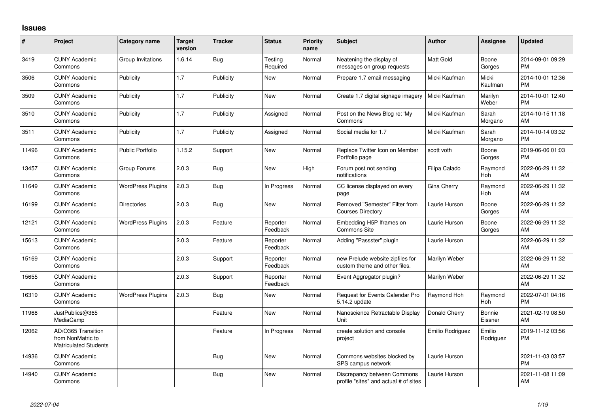## **Issues**

| #     | Project                                                                 | <b>Category name</b>     | <b>Target</b><br>version | <b>Tracker</b> | <b>Status</b>        | <b>Priority</b><br>name | Subject                                                              | <b>Author</b>    | Assignee            | <b>Updated</b>                |
|-------|-------------------------------------------------------------------------|--------------------------|--------------------------|----------------|----------------------|-------------------------|----------------------------------------------------------------------|------------------|---------------------|-------------------------------|
| 3419  | <b>CUNY Academic</b><br>Commons                                         | Group Invitations        | 1.6.14                   | Bug            | Testing<br>Required  | Normal                  | Neatening the display of<br>messages on group requests               | Matt Gold        | Boone<br>Gorges     | 2014-09-01 09:29<br><b>PM</b> |
| 3506  | <b>CUNY Academic</b><br>Commons                                         | Publicity                | 1.7                      | Publicity      | New                  | Normal                  | Prepare 1.7 email messaging                                          | Micki Kaufman    | Micki<br>Kaufman    | 2014-10-01 12:36<br><b>PM</b> |
| 3509  | <b>CUNY Academic</b><br>Commons                                         | Publicity                | 1.7                      | Publicity      | <b>New</b>           | Normal                  | Create 1.7 digital signage imagery                                   | Micki Kaufman    | Marilyn<br>Weber    | 2014-10-01 12:40<br><b>PM</b> |
| 3510  | <b>CUNY Academic</b><br>Commons                                         | Publicity                | 1.7                      | Publicity      | Assigned             | Normal                  | Post on the News Blog re: 'My<br>Commons'                            | Micki Kaufman    | Sarah<br>Morgano    | 2014-10-15 11:18<br>AM        |
| 3511  | <b>CUNY Academic</b><br>Commons                                         | Publicity                | 1.7                      | Publicity      | Assigned             | Normal                  | Social media for 1.7                                                 | Micki Kaufman    | Sarah<br>Morgano    | 2014-10-14 03:32<br><b>PM</b> |
| 11496 | <b>CUNY Academic</b><br>Commons                                         | <b>Public Portfolio</b>  | 1.15.2                   | Support        | New                  | Normal                  | Replace Twitter Icon on Member<br>Portfolio page                     | scott voth       | Boone<br>Gorges     | 2019-06-06 01:03<br><b>PM</b> |
| 13457 | <b>CUNY Academic</b><br>Commons                                         | Group Forums             | 2.0.3                    | <b>Bug</b>     | New                  | High                    | Forum post not sending<br>notifications                              | Filipa Calado    | Raymond<br>Hoh      | 2022-06-29 11:32<br>AM        |
| 11649 | <b>CUNY Academic</b><br>Commons                                         | <b>WordPress Plugins</b> | 2.0.3                    | Bug            | In Progress          | Normal                  | CC license displayed on every<br>page                                | Gina Cherry      | Raymond<br>Hoh      | 2022-06-29 11:32<br>AM        |
| 16199 | <b>CUNY Academic</b><br>Commons                                         | <b>Directories</b>       | 2.0.3                    | Bug            | <b>New</b>           | Normal                  | Removed "Semester" Filter from<br><b>Courses Directory</b>           | Laurie Hurson    | Boone<br>Gorges     | 2022-06-29 11:32<br>AM        |
| 12121 | <b>CUNY Academic</b><br>Commons                                         | <b>WordPress Plugins</b> | 2.0.3                    | Feature        | Reporter<br>Feedback | Normal                  | Embedding H5P Iframes on<br>Commons Site                             | Laurie Hurson    | Boone<br>Gorges     | 2022-06-29 11:32<br>AM        |
| 15613 | <b>CUNY Academic</b><br>Commons                                         |                          | 2.0.3                    | Feature        | Reporter<br>Feedback | Normal                  | Adding "Passster" plugin                                             | Laurie Hurson    |                     | 2022-06-29 11:32<br>AM        |
| 15169 | <b>CUNY Academic</b><br>Commons                                         |                          | 2.0.3                    | Support        | Reporter<br>Feedback | Normal                  | new Prelude website zipfiles for<br>custom theme and other files.    | Marilyn Weber    |                     | 2022-06-29 11:32<br>AM        |
| 15655 | <b>CUNY Academic</b><br>Commons                                         |                          | 2.0.3                    | Support        | Reporter<br>Feedback | Normal                  | Event Aggregator plugin?                                             | Marilyn Weber    |                     | 2022-06-29 11:32<br>AM        |
| 16319 | <b>CUNY Academic</b><br>Commons                                         | <b>WordPress Plugins</b> | 2.0.3                    | Bug            | <b>New</b>           | Normal                  | Request for Events Calendar Pro<br>5.14.2 update                     | Raymond Hoh      | Raymond<br>Hoh      | 2022-07-01 04:16<br><b>PM</b> |
| 11968 | JustPublics@365<br>MediaCamp                                            |                          |                          | Feature        | New                  | Normal                  | Nanoscience Retractable Display<br>Unit                              | Donald Cherry    | Bonnie<br>Eissner   | 2021-02-19 08:50<br>AM        |
| 12062 | AD/O365 Transition<br>from NonMatric to<br><b>Matriculated Students</b> |                          |                          | Feature        | In Progress          | Normal                  | create solution and console<br>project                               | Emilio Rodriguez | Emilio<br>Rodriguez | 2019-11-12 03:56<br><b>PM</b> |
| 14936 | <b>CUNY Academic</b><br>Commons                                         |                          |                          | Bug            | <b>New</b>           | Normal                  | Commons websites blocked by<br>SPS campus network                    | Laurie Hurson    |                     | 2021-11-03 03:57<br><b>PM</b> |
| 14940 | <b>CUNY Academic</b><br>Commons                                         |                          |                          | <b>Bug</b>     | <b>New</b>           | Normal                  | Discrepancy between Commons<br>profile "sites" and actual # of sites | Laurie Hurson    |                     | 2021-11-08 11:09<br>AM        |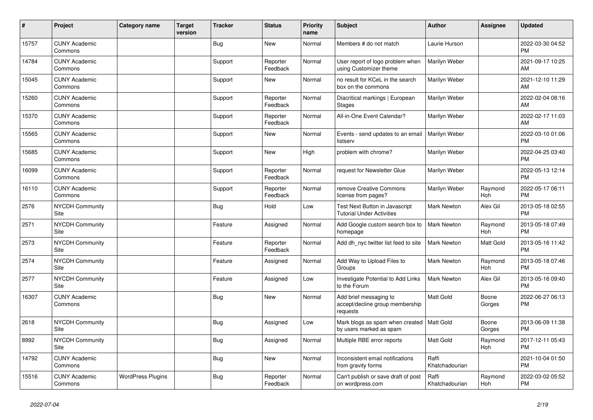| #     | Project                         | <b>Category name</b>     | <b>Target</b><br>version | <b>Tracker</b> | <b>Status</b>        | <b>Priority</b><br>name | <b>Subject</b>                                                         | <b>Author</b>           | <b>Assignee</b> | <b>Updated</b>                |
|-------|---------------------------------|--------------------------|--------------------------|----------------|----------------------|-------------------------|------------------------------------------------------------------------|-------------------------|-----------------|-------------------------------|
| 15757 | <b>CUNY Academic</b><br>Commons |                          |                          | Bug            | New                  | Normal                  | Members # do not match                                                 | Laurie Hurson           |                 | 2022-03-30 04:52<br><b>PM</b> |
| 14784 | <b>CUNY Academic</b><br>Commons |                          |                          | Support        | Reporter<br>Feedback | Normal                  | User report of logo problem when<br>using Customizer theme             | Marilyn Weber           |                 | 2021-09-17 10:25<br>AM        |
| 15045 | <b>CUNY Academic</b><br>Commons |                          |                          | Support        | <b>New</b>           | Normal                  | no result for KCeL in the search<br>box on the commons                 | Marilyn Weber           |                 | 2021-12-10 11:29<br>AM        |
| 15260 | <b>CUNY Academic</b><br>Commons |                          |                          | Support        | Reporter<br>Feedback | Normal                  | Diacritical markings   European<br><b>Stages</b>                       | Marilyn Weber           |                 | 2022-02-04 08:16<br>AM        |
| 15370 | <b>CUNY Academic</b><br>Commons |                          |                          | Support        | Reporter<br>Feedback | Normal                  | All-in-One Event Calendar?                                             | Marilyn Weber           |                 | 2022-02-17 11:03<br>AM        |
| 15565 | <b>CUNY Academic</b><br>Commons |                          |                          | Support        | <b>New</b>           | Normal                  | Events - send updates to an email<br>listserv                          | Marilyn Weber           |                 | 2022-03-10 01:06<br><b>PM</b> |
| 15685 | <b>CUNY Academic</b><br>Commons |                          |                          | Support        | <b>New</b>           | High                    | problem with chrome?                                                   | Marilyn Weber           |                 | 2022-04-25 03:40<br><b>PM</b> |
| 16099 | <b>CUNY Academic</b><br>Commons |                          |                          | Support        | Reporter<br>Feedback | Normal                  | request for Newsletter Glue                                            | Marilyn Weber           |                 | 2022-05-13 12:14<br><b>PM</b> |
| 16110 | <b>CUNY Academic</b><br>Commons |                          |                          | Support        | Reporter<br>Feedback | Normal                  | remove Creative Commons<br>license from pages?                         | Marilyn Weber           | Raymond<br>Hoh  | 2022-05-17 06:11<br><b>PM</b> |
| 2576  | <b>NYCDH Community</b><br>Site  |                          |                          | <b>Bug</b>     | Hold                 | Low                     | Test Next Button in Javascript<br><b>Tutorial Under Activities</b>     | Mark Newton             | Alex Gil        | 2013-05-18 02:55<br><b>PM</b> |
| 2571  | <b>NYCDH Community</b><br>Site  |                          |                          | Feature        | Assigned             | Normal                  | Add Google custom search box to<br>homepage                            | <b>Mark Newton</b>      | Raymond<br>Hoh  | 2013-05-18 07:49<br><b>PM</b> |
| 2573  | <b>NYCDH Community</b><br>Site  |                          |                          | Feature        | Reporter<br>Feedback | Normal                  | Add dh_nyc twitter list feed to site                                   | <b>Mark Newton</b>      | Matt Gold       | 2013-05-16 11:42<br><b>PM</b> |
| 2574  | <b>NYCDH Community</b><br>Site  |                          |                          | Feature        | Assigned             | Normal                  | Add Way to Upload Files to<br>Groups                                   | <b>Mark Newton</b>      | Raymond<br>Hoh  | 2013-05-18 07:46<br><b>PM</b> |
| 2577  | <b>NYCDH Community</b><br>Site  |                          |                          | Feature        | Assigned             | Low                     | Investigate Potential to Add Links<br>to the Forum                     | <b>Mark Newton</b>      | Alex Gil        | 2013-05-16 09:40<br><b>PM</b> |
| 16307 | <b>CUNY Academic</b><br>Commons |                          |                          | Bug            | <b>New</b>           | Normal                  | Add brief messaging to<br>accept/decline group membership<br>requests  | Matt Gold               | Boone<br>Gorges | 2022-06-27 06:13<br><b>PM</b> |
| 2618  | NYCDH Community<br>Site         |                          |                          | <b>Bug</b>     | Assigned             | Low                     | Mark blogs as spam when created   Matt Gold<br>by users marked as spam |                         | Boone<br>Gorges | 2013-06-09 11:38<br><b>PM</b> |
| 8992  | NYCDH Community<br>Site         |                          |                          | Bug            | Assigned             | Normal                  | Multiple RBE error reports                                             | Matt Gold               | Raymond<br>Hoh  | 2017-12-11 05:43<br><b>PM</b> |
| 14792 | <b>CUNY Academic</b><br>Commons |                          |                          | <b>Bug</b>     | <b>New</b>           | Normal                  | Inconsistent email notifications<br>from gravity forms                 | Raffi<br>Khatchadourian |                 | 2021-10-04 01:50<br><b>PM</b> |
| 15516 | <b>CUNY Academic</b><br>Commons | <b>WordPress Plugins</b> |                          | <b>Bug</b>     | Reporter<br>Feedback | Normal                  | Can't publish or save draft of post<br>on wordpress.com                | Raffi<br>Khatchadourian | Raymond<br>Hoh  | 2022-03-02 05:52<br><b>PM</b> |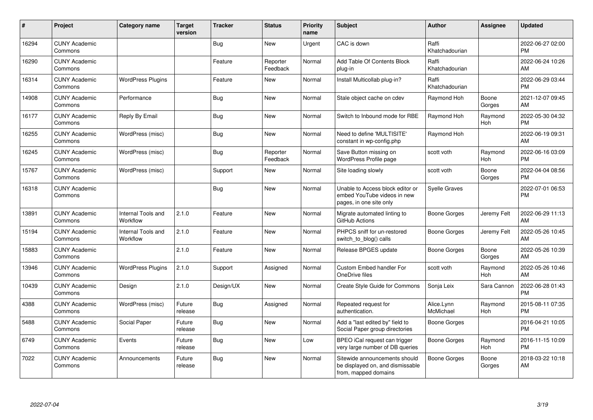| #     | Project                         | <b>Category name</b>           | <b>Target</b><br>version | <b>Tracker</b> | <b>Status</b>        | Priority<br>name | <b>Subject</b>                                                                             | <b>Author</b>           | <b>Assignee</b> | <b>Updated</b>                |
|-------|---------------------------------|--------------------------------|--------------------------|----------------|----------------------|------------------|--------------------------------------------------------------------------------------------|-------------------------|-----------------|-------------------------------|
| 16294 | <b>CUNY Academic</b><br>Commons |                                |                          | Bug            | <b>New</b>           | Urgent           | CAC is down                                                                                | Raffi<br>Khatchadourian |                 | 2022-06-27 02:00<br><b>PM</b> |
| 16290 | <b>CUNY Academic</b><br>Commons |                                |                          | Feature        | Reporter<br>Feedback | Normal           | Add Table Of Contents Block<br>plug-in                                                     | Raffi<br>Khatchadourian |                 | 2022-06-24 10:26<br>AM        |
| 16314 | <b>CUNY Academic</b><br>Commons | <b>WordPress Plugins</b>       |                          | Feature        | New                  | Normal           | Install Multicollab plug-in?                                                               | Raffi<br>Khatchadourian |                 | 2022-06-29 03:44<br><b>PM</b> |
| 14908 | <b>CUNY Academic</b><br>Commons | Performance                    |                          | Bug            | <b>New</b>           | Normal           | Stale object cache on cdev                                                                 | Raymond Hoh             | Boone<br>Gorges | 2021-12-07 09:45<br>AM        |
| 16177 | <b>CUNY Academic</b><br>Commons | Reply By Email                 |                          | Bug            | <b>New</b>           | Normal           | Switch to Inbound mode for RBE                                                             | Raymond Hoh             | Raymond<br>Hoh  | 2022-05-30 04:32<br><b>PM</b> |
| 16255 | <b>CUNY Academic</b><br>Commons | WordPress (misc)               |                          | <b>Bug</b>     | New                  | Normal           | Need to define 'MULTISITE'<br>constant in wp-config.php                                    | Raymond Hoh             |                 | 2022-06-19 09:31<br><b>AM</b> |
| 16245 | <b>CUNY Academic</b><br>Commons | WordPress (misc)               |                          | Bug            | Reporter<br>Feedback | Normal           | Save Button missing on<br><b>WordPress Profile page</b>                                    | scott voth              | Raymond<br>Hoh  | 2022-06-16 03:09<br><b>PM</b> |
| 15767 | <b>CUNY Academic</b><br>Commons | WordPress (misc)               |                          | Support        | New                  | Normal           | Site loading slowly                                                                        | scott voth              | Boone<br>Gorges | 2022-04-04 08:56<br>PM.       |
| 16318 | <b>CUNY Academic</b><br>Commons |                                |                          | <b>Bug</b>     | New                  | Normal           | Unable to Access block editor or<br>embed YouTube videos in new<br>pages, in one site only | <b>Syelle Graves</b>    |                 | 2022-07-01 06:53<br><b>PM</b> |
| 13891 | <b>CUNY Academic</b><br>Commons | Internal Tools and<br>Workflow | 2.1.0                    | Feature        | <b>New</b>           | Normal           | Migrate automated linting to<br>GitHub Actions                                             | Boone Gorges            | Jeremy Felt     | 2022-06-29 11:13<br>AM.       |
| 15194 | <b>CUNY Academic</b><br>Commons | Internal Tools and<br>Workflow | 2.1.0                    | Feature        | <b>New</b>           | Normal           | PHPCS sniff for un-restored<br>switch to blog() calls                                      | Boone Gorges            | Jeremy Felt     | 2022-05-26 10:45<br>AM        |
| 15883 | <b>CUNY Academic</b><br>Commons |                                | 2.1.0                    | Feature        | <b>New</b>           | Normal           | Release BPGES update                                                                       | Boone Gorges            | Boone<br>Gorges | 2022-05-26 10:39<br>AM        |
| 13946 | <b>CUNY Academic</b><br>Commons | <b>WordPress Plugins</b>       | 2.1.0                    | Support        | Assigned             | Normal           | Custom Embed handler For<br>OneDrive files                                                 | scott voth              | Raymond<br>Hoh  | 2022-05-26 10:46<br>AM        |
| 10439 | <b>CUNY Academic</b><br>Commons | Design                         | 2.1.0                    | Design/UX      | <b>New</b>           | Normal           | Create Style Guide for Commons                                                             | Sonja Leix              | Sara Cannon     | 2022-06-28 01:43<br><b>PM</b> |
| 4388  | <b>CUNY Academic</b><br>Commons | WordPress (misc)               | Future<br>release        | Bug            | Assigned             | Normal           | Repeated request for<br>authentication.                                                    | Alice.Lynn<br>McMichael | Raymond<br>Hoh  | 2015-08-11 07:35<br><b>PM</b> |
| 5488  | <b>CUNY Academic</b><br>Commons | Social Paper                   | Future<br>release        | Bug            | <b>New</b>           | Normal           | Add a "last edited by" field to<br>Social Paper group directories                          | Boone Gorges            |                 | 2016-04-21 10:05<br><b>PM</b> |
| 6749  | <b>CUNY Academic</b><br>Commons | Events                         | Future<br>release        | Bug            | New                  | Low              | BPEO iCal request can trigger<br>very large number of DB queries                           | Boone Gorges            | Raymond<br>Hoh  | 2016-11-15 10:09<br><b>PM</b> |
| 7022  | <b>CUNY Academic</b><br>Commons | Announcements                  | Future<br>release        | <b>Bug</b>     | <b>New</b>           | Normal           | Sitewide announcements should<br>be displayed on, and dismissable<br>from, mapped domains  | <b>Boone Gorges</b>     | Boone<br>Gorges | 2018-03-22 10:18<br>AM        |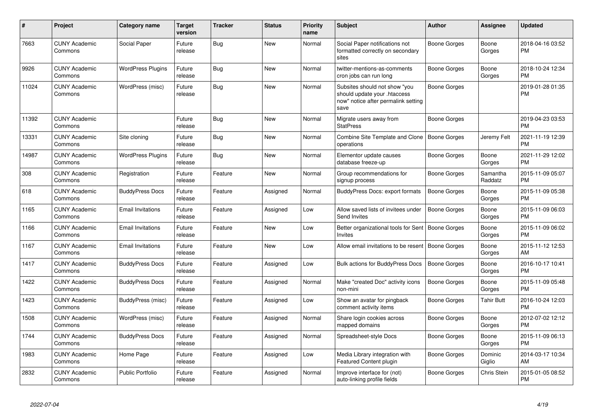| #     | Project                         | <b>Category name</b>     | <b>Target</b><br>version | <b>Tracker</b> | <b>Status</b> | <b>Priority</b><br>name | <b>Subject</b>                                                                                               | <b>Author</b>       | <b>Assignee</b>     | <b>Updated</b>                |
|-------|---------------------------------|--------------------------|--------------------------|----------------|---------------|-------------------------|--------------------------------------------------------------------------------------------------------------|---------------------|---------------------|-------------------------------|
| 7663  | <b>CUNY Academic</b><br>Commons | Social Paper             | Future<br>release        | <b>Bug</b>     | New           | Normal                  | Social Paper notifications not<br>formatted correctly on secondary<br>sites                                  | Boone Gorges        | Boone<br>Gorges     | 2018-04-16 03:52<br><b>PM</b> |
| 9926  | <b>CUNY Academic</b><br>Commons | <b>WordPress Plugins</b> | Future<br>release        | Bug            | <b>New</b>    | Normal                  | twitter-mentions-as-comments<br>cron jobs can run long                                                       | Boone Gorges        | Boone<br>Gorges     | 2018-10-24 12:34<br><b>PM</b> |
| 11024 | <b>CUNY Academic</b><br>Commons | WordPress (misc)         | Future<br>release        | Bug            | New           | Normal                  | Subsites should not show "you<br>should update your .htaccess<br>now" notice after permalink setting<br>save | Boone Gorges        |                     | 2019-01-28 01:35<br><b>PM</b> |
| 11392 | <b>CUNY Academic</b><br>Commons |                          | Future<br>release        | Bug            | <b>New</b>    | Normal                  | Migrate users away from<br><b>StatPress</b>                                                                  | Boone Gorges        |                     | 2019-04-23 03:53<br><b>PM</b> |
| 13331 | <b>CUNY Academic</b><br>Commons | Site cloning             | Future<br>release        | Bug            | <b>New</b>    | Normal                  | Combine Site Template and Clone   Boone Gorges<br>operations                                                 |                     | Jeremy Felt         | 2021-11-19 12:39<br><b>PM</b> |
| 14987 | <b>CUNY Academic</b><br>Commons | <b>WordPress Plugins</b> | Future<br>release        | Bug            | New           | Normal                  | Elementor update causes<br>database freeze-up                                                                | Boone Gorges        | Boone<br>Gorges     | 2021-11-29 12:02<br><b>PM</b> |
| 308   | <b>CUNY Academic</b><br>Commons | Registration             | Future<br>release        | Feature        | <b>New</b>    | Normal                  | Group recommendations for<br>signup process                                                                  | Boone Gorges        | Samantha<br>Raddatz | 2015-11-09 05:07<br><b>PM</b> |
| 618   | <b>CUNY Academic</b><br>Commons | <b>BuddyPress Docs</b>   | Future<br>release        | Feature        | Assigned      | Normal                  | BuddyPress Docs: export formats                                                                              | <b>Boone Gorges</b> | Boone<br>Gorges     | 2015-11-09 05:38<br><b>PM</b> |
| 1165  | <b>CUNY Academic</b><br>Commons | <b>Email Invitations</b> | Future<br>release        | Feature        | Assigned      | Low                     | Allow saved lists of invitees under<br>Send Invites                                                          | <b>Boone Gorges</b> | Boone<br>Gorges     | 2015-11-09 06:03<br><b>PM</b> |
| 1166  | <b>CUNY Academic</b><br>Commons | <b>Email Invitations</b> | Future<br>release        | Feature        | <b>New</b>    | Low                     | Better organizational tools for Sent   Boone Gorges<br>Invites                                               |                     | Boone<br>Gorges     | 2015-11-09 06:02<br><b>PM</b> |
| 1167  | <b>CUNY Academic</b><br>Commons | <b>Email Invitations</b> | Future<br>release        | Feature        | <b>New</b>    | Low                     | Allow email invitations to be resent                                                                         | <b>Boone Gorges</b> | Boone<br>Gorges     | 2015-11-12 12:53<br>AM        |
| 1417  | <b>CUNY Academic</b><br>Commons | <b>BuddyPress Docs</b>   | Future<br>release        | Feature        | Assigned      | Low                     | Bulk actions for BuddyPress Docs                                                                             | Boone Gorges        | Boone<br>Gorges     | 2016-10-17 10:41<br><b>PM</b> |
| 1422  | <b>CUNY Academic</b><br>Commons | <b>BuddyPress Docs</b>   | Future<br>release        | Feature        | Assigned      | Normal                  | Make "created Doc" activity icons<br>non-mini                                                                | Boone Gorges        | Boone<br>Gorges     | 2015-11-09 05:48<br><b>PM</b> |
| 1423  | <b>CUNY Academic</b><br>Commons | BuddyPress (misc)        | Future<br>release        | Feature        | Assigned      | Low                     | Show an avatar for pingback<br>comment activity items                                                        | Boone Gorges        | Tahir Butt          | 2016-10-24 12:03<br><b>PM</b> |
| 1508  | <b>CUNY Academic</b><br>Commons | WordPress (misc)         | Future<br>release        | Feature        | Assigned      | Normal                  | Share login cookies across<br>mapped domains                                                                 | Boone Gorges        | Boone<br>Gorges     | 2012-07-02 12:12<br><b>PM</b> |
| 1744  | <b>CUNY Academic</b><br>Commons | <b>BuddyPress Docs</b>   | Future<br>release        | Feature        | Assigned      | Normal                  | Spreadsheet-style Docs                                                                                       | Boone Gorges        | Boone<br>Gorges     | 2015-11-09 06:13<br><b>PM</b> |
| 1983  | <b>CUNY Academic</b><br>Commons | Home Page                | Future<br>release        | Feature        | Assigned      | Low                     | Media Library integration with<br>Featured Content plugin                                                    | Boone Gorges        | Dominic<br>Giglio   | 2014-03-17 10:34<br>AM        |
| 2832  | <b>CUNY Academic</b><br>Commons | <b>Public Portfolio</b>  | Future<br>release        | Feature        | Assigned      | Normal                  | Improve interface for (not)<br>auto-linking profile fields                                                   | Boone Gorges        | Chris Stein         | 2015-01-05 08:52<br><b>PM</b> |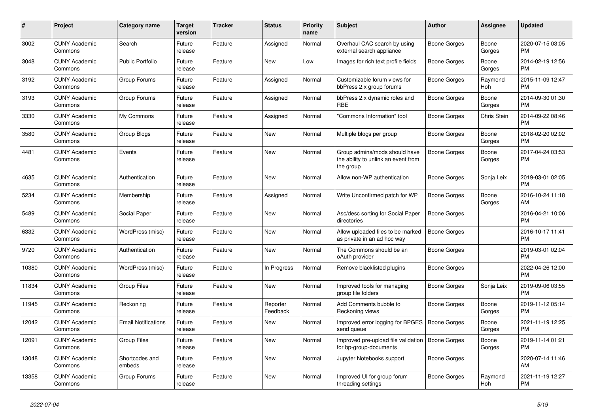| #     | <b>Project</b>                  | Category name              | <b>Target</b><br>version | <b>Tracker</b> | <b>Status</b>        | <b>Priority</b><br>name | <b>Subject</b>                                                                    | <b>Author</b>       | Assignee        | <b>Updated</b>                |
|-------|---------------------------------|----------------------------|--------------------------|----------------|----------------------|-------------------------|-----------------------------------------------------------------------------------|---------------------|-----------------|-------------------------------|
| 3002  | <b>CUNY Academic</b><br>Commons | Search                     | Future<br>release        | Feature        | Assigned             | Normal                  | Overhaul CAC search by using<br>external search appliance                         | Boone Gorges        | Boone<br>Gorges | 2020-07-15 03:05<br><b>PM</b> |
| 3048  | <b>CUNY Academic</b><br>Commons | <b>Public Portfolio</b>    | Future<br>release        | Feature        | New                  | Low                     | Images for rich text profile fields                                               | Boone Gorges        | Boone<br>Gorges | 2014-02-19 12:56<br><b>PM</b> |
| 3192  | <b>CUNY Academic</b><br>Commons | Group Forums               | Future<br>release        | Feature        | Assigned             | Normal                  | Customizable forum views for<br>bbPress 2.x group forums                          | Boone Gorges        | Raymond<br>Hoh  | 2015-11-09 12:47<br><b>PM</b> |
| 3193  | <b>CUNY Academic</b><br>Commons | Group Forums               | Future<br>release        | Feature        | Assigned             | Normal                  | bbPress 2.x dynamic roles and<br><b>RBE</b>                                       | Boone Gorges        | Boone<br>Gorges | 2014-09-30 01:30<br><b>PM</b> |
| 3330  | <b>CUNY Academic</b><br>Commons | My Commons                 | Future<br>release        | Feature        | Assigned             | Normal                  | "Commons Information" tool                                                        | Boone Gorges        | Chris Stein     | 2014-09-22 08:46<br><b>PM</b> |
| 3580  | <b>CUNY Academic</b><br>Commons | Group Blogs                | Future<br>release        | Feature        | New                  | Normal                  | Multiple blogs per group                                                          | Boone Gorges        | Boone<br>Gorges | 2018-02-20 02:02<br><b>PM</b> |
| 4481  | <b>CUNY Academic</b><br>Commons | Events                     | Future<br>release        | Feature        | <b>New</b>           | Normal                  | Group admins/mods should have<br>the ability to unlink an event from<br>the group | Boone Gorges        | Boone<br>Gorges | 2017-04-24 03:53<br><b>PM</b> |
| 4635  | <b>CUNY Academic</b><br>Commons | Authentication             | Future<br>release        | Feature        | New                  | Normal                  | Allow non-WP authentication                                                       | Boone Gorges        | Sonja Leix      | 2019-03-01 02:05<br><b>PM</b> |
| 5234  | <b>CUNY Academic</b><br>Commons | Membership                 | Future<br>release        | Feature        | Assigned             | Normal                  | Write Unconfirmed patch for WP                                                    | Boone Gorges        | Boone<br>Gorges | 2016-10-24 11:18<br>AM        |
| 5489  | <b>CUNY Academic</b><br>Commons | Social Paper               | Future<br>release        | Feature        | <b>New</b>           | Normal                  | Asc/desc sorting for Social Paper<br>directories                                  | <b>Boone Gorges</b> |                 | 2016-04-21 10:06<br><b>PM</b> |
| 6332  | <b>CUNY Academic</b><br>Commons | WordPress (misc)           | Future<br>release        | Feature        | New                  | Normal                  | Allow uploaded files to be marked<br>as private in an ad hoc way                  | Boone Gorges        |                 | 2016-10-17 11:41<br><b>PM</b> |
| 9720  | <b>CUNY Academic</b><br>Commons | Authentication             | Future<br>release        | Feature        | New                  | Normal                  | The Commons should be an<br>oAuth provider                                        | Boone Gorges        |                 | 2019-03-01 02:04<br><b>PM</b> |
| 10380 | <b>CUNY Academic</b><br>Commons | WordPress (misc)           | Future<br>release        | Feature        | In Progress          | Normal                  | Remove blacklisted plugins                                                        | Boone Gorges        |                 | 2022-04-26 12:00<br><b>PM</b> |
| 11834 | <b>CUNY Academic</b><br>Commons | <b>Group Files</b>         | Future<br>release        | Feature        | <b>New</b>           | Normal                  | Improved tools for managing<br>group file folders                                 | Boone Gorges        | Sonja Leix      | 2019-09-06 03:55<br><b>PM</b> |
| 11945 | <b>CUNY Academic</b><br>Commons | Reckoning                  | Future<br>release        | Feature        | Reporter<br>Feedback | Normal                  | Add Comments bubble to<br>Reckoning views                                         | Boone Gorges        | Boone<br>Gorges | 2019-11-12 05:14<br><b>PM</b> |
| 12042 | <b>CUNY Academic</b><br>Commons | <b>Email Notifications</b> | Future<br>release        | Feature        | New                  | Normal                  | Improved error logging for BPGES<br>send queue                                    | Boone Gorges        | Boone<br>Gorges | 2021-11-19 12:25<br><b>PM</b> |
| 12091 | <b>CUNY Academic</b><br>Commons | <b>Group Files</b>         | Future<br>release        | Feature        | <b>New</b>           | Normal                  | Improved pre-upload file validation<br>for bp-group-documents                     | Boone Gorges        | Boone<br>Gorges | 2019-11-14 01:21<br><b>PM</b> |
| 13048 | <b>CUNY Academic</b><br>Commons | Shortcodes and<br>embeds   | Future<br>release        | Feature        | New                  | Normal                  | Jupyter Notebooks support                                                         | Boone Gorges        |                 | 2020-07-14 11:46<br>AM        |
| 13358 | <b>CUNY Academic</b><br>Commons | Group Forums               | Future<br>release        | Feature        | <b>New</b>           | Normal                  | Improved UI for group forum<br>threading settings                                 | Boone Gorges        | Raymond<br>Hoh  | 2021-11-19 12:27<br><b>PM</b> |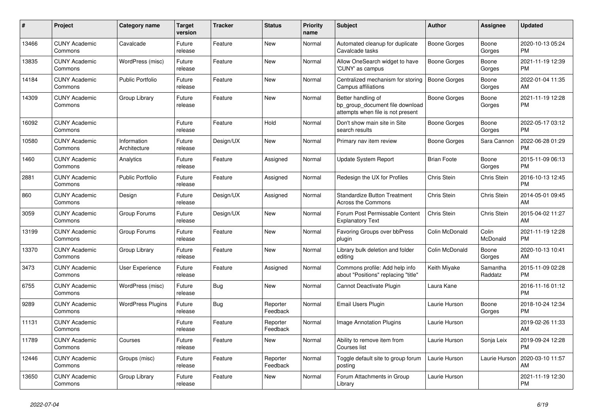| #     | <b>Project</b>                  | Category name               | <b>Target</b><br>version | <b>Tracker</b> | <b>Status</b>        | <b>Priority</b><br>name | <b>Subject</b>                                                                             | <b>Author</b>      | Assignee            | <b>Updated</b>                |
|-------|---------------------------------|-----------------------------|--------------------------|----------------|----------------------|-------------------------|--------------------------------------------------------------------------------------------|--------------------|---------------------|-------------------------------|
| 13466 | <b>CUNY Academic</b><br>Commons | Cavalcade                   | Future<br>release        | Feature        | New                  | Normal                  | Automated cleanup for duplicate<br>Cavalcade tasks                                         | Boone Gorges       | Boone<br>Gorges     | 2020-10-13 05:24<br><b>PM</b> |
| 13835 | <b>CUNY Academic</b><br>Commons | WordPress (misc)            | Future<br>release        | Feature        | New                  | Normal                  | Allow OneSearch widget to have<br>'CUNY' as campus                                         | Boone Gorges       | Boone<br>Gorges     | 2021-11-19 12:39<br><b>PM</b> |
| 14184 | <b>CUNY Academic</b><br>Commons | <b>Public Portfolio</b>     | Future<br>release        | Feature        | New                  | Normal                  | Centralized mechanism for storing<br>Campus affiliations                                   | Boone Gorges       | Boone<br>Gorges     | 2022-01-04 11:35<br>AM        |
| 14309 | <b>CUNY Academic</b><br>Commons | Group Library               | Future<br>release        | Feature        | <b>New</b>           | Normal                  | Better handling of<br>bp_group_document file download<br>attempts when file is not present | Boone Gorges       | Boone<br>Gorges     | 2021-11-19 12:28<br><b>PM</b> |
| 16092 | <b>CUNY Academic</b><br>Commons |                             | Future<br>release        | Feature        | Hold                 | Normal                  | Don't show main site in Site<br>search results                                             | Boone Gorges       | Boone<br>Gorges     | 2022-05-17 03:12<br><b>PM</b> |
| 10580 | <b>CUNY Academic</b><br>Commons | Information<br>Architecture | Future<br>release        | Design/UX      | <b>New</b>           | Normal                  | Primary nav item review                                                                    | Boone Gorges       | Sara Cannon         | 2022-06-28 01:29<br><b>PM</b> |
| 1460  | <b>CUNY Academic</b><br>Commons | Analytics                   | Future<br>release        | Feature        | Assigned             | Normal                  | <b>Update System Report</b>                                                                | <b>Brian Foote</b> | Boone<br>Gorges     | 2015-11-09 06:13<br><b>PM</b> |
| 2881  | <b>CUNY Academic</b><br>Commons | <b>Public Portfolio</b>     | Future<br>release        | Feature        | Assigned             | Normal                  | Redesign the UX for Profiles                                                               | Chris Stein        | Chris Stein         | 2016-10-13 12:45<br><b>PM</b> |
| 860   | <b>CUNY Academic</b><br>Commons | Design                      | Future<br>release        | Design/UX      | Assigned             | Normal                  | <b>Standardize Button Treatment</b><br><b>Across the Commons</b>                           | Chris Stein        | Chris Stein         | 2014-05-01 09:45<br>AM        |
| 3059  | <b>CUNY Academic</b><br>Commons | Group Forums                | Future<br>release        | Design/UX      | <b>New</b>           | Normal                  | Forum Post Permissable Content<br><b>Explanatory Text</b>                                  | Chris Stein        | <b>Chris Stein</b>  | 2015-04-02 11:27<br>AM        |
| 13199 | <b>CUNY Academic</b><br>Commons | Group Forums                | Future<br>release        | Feature        | New                  | Normal                  | Favoring Groups over bbPress<br>plugin                                                     | Colin McDonald     | Colin<br>McDonald   | 2021-11-19 12:28<br><b>PM</b> |
| 13370 | <b>CUNY Academic</b><br>Commons | Group Library               | Future<br>release        | Feature        | New                  | Normal                  | Library bulk deletion and folder<br>editing                                                | Colin McDonald     | Boone<br>Gorges     | 2020-10-13 10:41<br>AM        |
| 3473  | <b>CUNY Academic</b><br>Commons | <b>User Experience</b>      | Future<br>release        | Feature        | Assigned             | Normal                  | Commons profile: Add help info<br>about "Positions" replacing "title"                      | Keith Miyake       | Samantha<br>Raddatz | 2015-11-09 02:28<br><b>PM</b> |
| 6755  | <b>CUNY Academic</b><br>Commons | WordPress (misc)            | Future<br>release        | Bug            | New                  | Normal                  | Cannot Deactivate Plugin                                                                   | Laura Kane         |                     | 2016-11-16 01:12<br><b>PM</b> |
| 9289  | <b>CUNY Academic</b><br>Commons | <b>WordPress Plugins</b>    | Future<br>release        | Bug            | Reporter<br>Feedback | Normal                  | Email Users Plugin                                                                         | Laurie Hurson      | Boone<br>Gorges     | 2018-10-24 12:34<br><b>PM</b> |
| 11131 | <b>CUNY Academic</b><br>Commons |                             | Future<br>release        | Feature        | Reporter<br>Feedback | Normal                  | Image Annotation Plugins                                                                   | Laurie Hurson      |                     | 2019-02-26 11:33<br>AM        |
| 11789 | <b>CUNY Academic</b><br>Commons | Courses                     | Future<br>release        | Feature        | <b>New</b>           | Normal                  | Ability to remove item from<br>Courses list                                                | Laurie Hurson      | Sonja Leix          | 2019-09-24 12:28<br><b>PM</b> |
| 12446 | <b>CUNY Academic</b><br>Commons | Groups (misc)               | Future<br>release        | Feature        | Reporter<br>Feedback | Normal                  | Toggle default site to group forum<br>posting                                              | Laurie Hurson      | Laurie Hurson       | 2020-03-10 11:57<br>AM        |
| 13650 | <b>CUNY Academic</b><br>Commons | Group Library               | Future<br>release        | Feature        | <b>New</b>           | Normal                  | Forum Attachments in Group<br>Library                                                      | Laurie Hurson      |                     | 2021-11-19 12:30<br><b>PM</b> |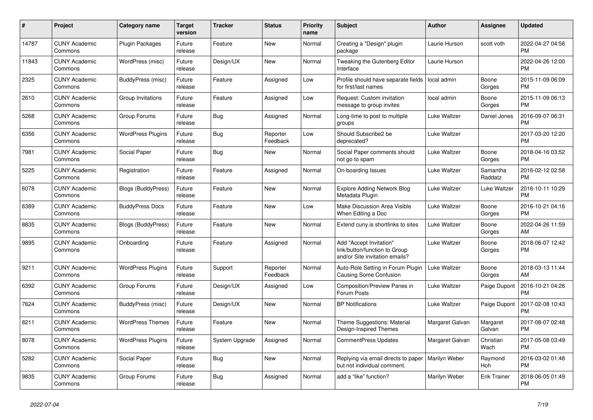| #     | Project                         | Category name             | <b>Target</b><br>version | Tracker        | <b>Status</b>        | <b>Priority</b><br>name | <b>Subject</b>                                                                                    | <b>Author</b>   | Assignee            | <b>Updated</b>                |
|-------|---------------------------------|---------------------------|--------------------------|----------------|----------------------|-------------------------|---------------------------------------------------------------------------------------------------|-----------------|---------------------|-------------------------------|
| 14787 | <b>CUNY Academic</b><br>Commons | <b>Plugin Packages</b>    | Future<br>release        | Feature        | New                  | Normal                  | Creating a "Design" plugin<br>package                                                             | Laurie Hurson   | scott voth          | 2022-04-27 04:56<br><b>PM</b> |
| 11843 | <b>CUNY Academic</b><br>Commons | WordPress (misc)          | Future<br>release        | Design/UX      | <b>New</b>           | Normal                  | Tweaking the Gutenberg Editor<br>Interface                                                        | Laurie Hurson   |                     | 2022-04-26 12:00<br><b>PM</b> |
| 2325  | <b>CUNY Academic</b><br>Commons | BuddyPress (misc)         | Future<br>release        | Feature        | Assigned             | Low                     | Profile should have separate fields<br>for first/last names                                       | local admin     | Boone<br>Gorges     | 2015-11-09 06:09<br><b>PM</b> |
| 2610  | <b>CUNY Academic</b><br>Commons | Group Invitations         | Future<br>release        | Feature        | Assigned             | Low                     | Request: Custom invitation<br>message to group invites                                            | local admin     | Boone<br>Gorges     | 2015-11-09 06:13<br><b>PM</b> |
| 5268  | <b>CUNY Academic</b><br>Commons | Group Forums              | Future<br>release        | <b>Bug</b>     | Assigned             | Normal                  | Long-time to post to multiple<br>groups                                                           | Luke Waltzer    | Daniel Jones        | 2016-09-07 06:31<br><b>PM</b> |
| 6356  | <b>CUNY Academic</b><br>Commons | <b>WordPress Plugins</b>  | Future<br>release        | Bug            | Reporter<br>Feedback | Low                     | Should Subscribe2 be<br>deprecated?                                                               | Luke Waltzer    |                     | 2017-03-20 12:20<br><b>PM</b> |
| 7981  | <b>CUNY Academic</b><br>Commons | Social Paper              | Future<br>release        | <b>Bug</b>     | <b>New</b>           | Normal                  | Social Paper comments should<br>not go to spam                                                    | Luke Waltzer    | Boone<br>Gorges     | 2018-04-16 03:52<br><b>PM</b> |
| 5225  | <b>CUNY Academic</b><br>Commons | Registration              | Future<br>release        | Feature        | Assigned             | Normal                  | On-boarding Issues                                                                                | Luke Waltzer    | Samantha<br>Raddatz | 2016-02-12 02:58<br><b>PM</b> |
| 6078  | <b>CUNY Academic</b><br>Commons | <b>Blogs (BuddyPress)</b> | Future<br>release        | Feature        | New                  | Normal                  | <b>Explore Adding Network Blog</b><br>Metadata Plugin                                             | Luke Waltzer    | Luke Waltzer        | 2016-10-11 10:29<br><b>PM</b> |
| 6389  | <b>CUNY Academic</b><br>Commons | <b>BuddyPress Docs</b>    | Future<br>release        | Feature        | <b>New</b>           | Low                     | Make Discussion Area Visible<br>When Editing a Doc                                                | Luke Waltzer    | Boone<br>Gorges     | 2016-10-21 04:16<br><b>PM</b> |
| 8835  | <b>CUNY Academic</b><br>Commons | <b>Blogs (BuddyPress)</b> | Future<br>release        | Feature        | <b>New</b>           | Normal                  | Extend cuny.is shortlinks to sites                                                                | Luke Waltzer    | Boone<br>Gorges     | 2022-04-26 11:59<br>AM        |
| 9895  | <b>CUNY Academic</b><br>Commons | Onboarding                | Future<br>release        | Feature        | Assigned             | Normal                  | <b>Add "Accept Invitation"</b><br>link/button/function to Group<br>and/or Site invitation emails? | Luke Waltzer    | Boone<br>Gorges     | 2018-06-07 12:42<br><b>PM</b> |
| 9211  | <b>CUNY Academic</b><br>Commons | <b>WordPress Plugins</b>  | Future<br>release        | Support        | Reporter<br>Feedback | Normal                  | Auto-Role Setting in Forum Plugin<br>Causing Some Confusion                                       | Luke Waltzer    | Boone<br>Gorges     | 2018-03-13 11:44<br>AM        |
| 6392  | <b>CUNY Academic</b><br>Commons | Group Forums              | Future<br>release        | Design/UX      | Assigned             | Low                     | Composition/Preview Panes in<br>Forum Posts                                                       | Luke Waltzer    | Paige Dupont        | 2016-10-21 04:26<br><b>PM</b> |
| 7624  | <b>CUNY Academic</b><br>Commons | BuddyPress (misc)         | Future<br>release        | Design/UX      | New                  | Normal                  | <b>BP Notifications</b>                                                                           | Luke Waltzer    | Paige Dupont        | 2017-02-08 10:43<br><b>PM</b> |
| 8211  | <b>CUNY Academic</b><br>Commons | <b>WordPress Themes</b>   | Future<br>release        | Feature        | <b>New</b>           | Normal                  | Theme Suggestions: Material<br>Design-Inspired Themes                                             | Margaret Galvan | Margaret<br>Galvan  | 2017-08-07 02:48<br><b>PM</b> |
| 8078  | <b>CUNY Academic</b><br>Commons | <b>WordPress Plugins</b>  | Future<br>release        | System Upgrade | Assigned             | Normal                  | <b>CommentPress Updates</b>                                                                       | Margaret Galvan | Christian<br>Wach   | 2017-05-08 03:49<br><b>PM</b> |
| 5282  | <b>CUNY Academic</b><br>Commons | Social Paper              | Future<br>release        | <b>Bug</b>     | New                  | Normal                  | Replying via email directs to paper   Marilyn Weber<br>but not individual comment.                |                 | Raymond<br>Hoh      | 2016-03-02 01:48<br><b>PM</b> |
| 9835  | <b>CUNY Academic</b><br>Commons | Group Forums              | Future<br>release        | <b>Bug</b>     | Assigned             | Normal                  | add a "like" function?                                                                            | Marilyn Weber   | <b>Erik Trainer</b> | 2018-06-05 01:49<br><b>PM</b> |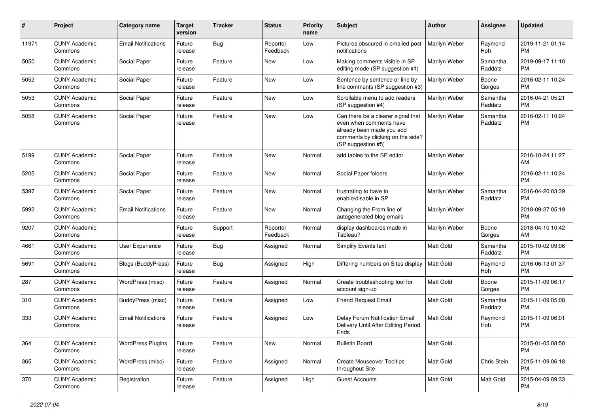| #     | Project                         | Category name              | <b>Target</b><br>version | Tracker    | <b>Status</b>        | <b>Priority</b><br>name | <b>Subject</b>                                                                                                                                        | Author           | <b>Assignee</b>     | <b>Updated</b>                |
|-------|---------------------------------|----------------------------|--------------------------|------------|----------------------|-------------------------|-------------------------------------------------------------------------------------------------------------------------------------------------------|------------------|---------------------|-------------------------------|
| 11971 | <b>CUNY Academic</b><br>Commons | <b>Email Notifications</b> | Future<br>release        | <b>Bug</b> | Reporter<br>Feedback | Low                     | Pictures obscured in emailed post<br>notifications                                                                                                    | Marilyn Weber    | Raymond<br>Hoh      | 2019-11-21 01:14<br><b>PM</b> |
| 5050  | <b>CUNY Academic</b><br>Commons | Social Paper               | Future<br>release        | Feature    | New                  | Low                     | Making comments visible in SP<br>editing mode (SP suggestion #1)                                                                                      | Marilyn Weber    | Samantha<br>Raddatz | 2019-09-17 11:10<br><b>PM</b> |
| 5052  | <b>CUNY Academic</b><br>Commons | Social Paper               | Future<br>release        | Feature    | <b>New</b>           | Low                     | Sentence by sentence or line by<br>line comments (SP suggestion #3)                                                                                   | Marilyn Weber    | Boone<br>Gorges     | 2016-02-11 10:24<br><b>PM</b> |
| 5053  | <b>CUNY Academic</b><br>Commons | Social Paper               | Future<br>release        | Feature    | New                  | Low                     | Scrollable menu to add readers<br>(SP suggestion #4)                                                                                                  | Marilyn Weber    | Samantha<br>Raddatz | 2016-04-21 05:21<br><b>PM</b> |
| 5058  | <b>CUNY Academic</b><br>Commons | Social Paper               | Future<br>release        | Feature    | <b>New</b>           | Low                     | Can there be a clearer signal that<br>even when comments have<br>already been made you add<br>comments by clicking on the side?<br>(SP suggestion #5) | Marilyn Weber    | Samantha<br>Raddatz | 2016-02-11 10:24<br><b>PM</b> |
| 5199  | <b>CUNY Academic</b><br>Commons | Social Paper               | Future<br>release        | Feature    | <b>New</b>           | Normal                  | add tables to the SP editor                                                                                                                           | Marilyn Weber    |                     | 2016-10-24 11:27<br>AM        |
| 5205  | <b>CUNY Academic</b><br>Commons | Social Paper               | Future<br>release        | Feature    | <b>New</b>           | Normal                  | Social Paper folders                                                                                                                                  | Marilyn Weber    |                     | 2016-02-11 10:24<br><b>PM</b> |
| 5397  | <b>CUNY Academic</b><br>Commons | Social Paper               | Future<br>release        | Feature    | New                  | Normal                  | frustrating to have to<br>enable/disable in SP                                                                                                        | Marilyn Weber    | Samantha<br>Raddatz | 2016-04-20 03:39<br><b>PM</b> |
| 5992  | <b>CUNY Academic</b><br>Commons | <b>Email Notifications</b> | Future<br>release        | Feature    | <b>New</b>           | Normal                  | Changing the From line of<br>autogenerated blog emails                                                                                                | Marilyn Weber    |                     | 2018-09-27 05:19<br><b>PM</b> |
| 9207  | <b>CUNY Academic</b><br>Commons |                            | Future<br>release        | Support    | Reporter<br>Feedback | Normal                  | display dashboards made in<br>Tableau?                                                                                                                | Marilyn Weber    | Boone<br>Gorges     | 2018-04-10 10:42<br>AM        |
| 4661  | <b>CUNY Academic</b><br>Commons | User Experience            | Future<br>release        | Bug        | Assigned             | Normal                  | Simplify Events text                                                                                                                                  | <b>Matt Gold</b> | Samantha<br>Raddatz | 2015-10-02 09:06<br><b>PM</b> |
| 5691  | <b>CUNY Academic</b><br>Commons | Blogs (BuddyPress)         | Future<br>release        | Bug        | Assigned             | High                    | Differing numbers on Sites display                                                                                                                    | <b>Matt Gold</b> | Raymond<br>Hoh      | 2016-06-13 01:37<br><b>PM</b> |
| 287   | <b>CUNY Academic</b><br>Commons | WordPress (misc)           | Future<br>release        | Feature    | Assigned             | Normal                  | Create troubleshooting tool for<br>account sign-up                                                                                                    | <b>Matt Gold</b> | Boone<br>Gorges     | 2015-11-09 06:17<br><b>PM</b> |
| 310   | <b>CUNY Academic</b><br>Commons | BuddyPress (misc)          | Future<br>release        | Feature    | Assigned             | Low                     | <b>Friend Request Email</b>                                                                                                                           | Matt Gold        | Samantha<br>Raddatz | 2015-11-09 05:08<br><b>PM</b> |
| 333   | <b>CUNY Academic</b><br>Commons | <b>Email Notifications</b> | Future<br>release        | Feature    | Assigned             | Low                     | Delay Forum Notification Email<br>Delivery Until After Editing Period<br>Ends                                                                         | Matt Gold        | Raymond<br>Hoh      | 2015-11-09 06:01<br><b>PM</b> |
| 364   | <b>CUNY Academic</b><br>Commons | <b>WordPress Plugins</b>   | Future<br>release        | Feature    | New                  | Normal                  | <b>Bulletin Board</b>                                                                                                                                 | Matt Gold        |                     | 2015-01-05 08:50<br>PM.       |
| 365   | <b>CUNY Academic</b><br>Commons | WordPress (misc)           | Future<br>release        | Feature    | Assigned             | Normal                  | <b>Create Mouseover Tooltips</b><br>throughout Site                                                                                                   | Matt Gold        | Chris Stein         | 2015-11-09 06:18<br><b>PM</b> |
| 370   | <b>CUNY Academic</b><br>Commons | Registration               | Future<br>release        | Feature    | Assigned             | High                    | <b>Guest Accounts</b>                                                                                                                                 | Matt Gold        | Matt Gold           | 2015-04-09 09:33<br><b>PM</b> |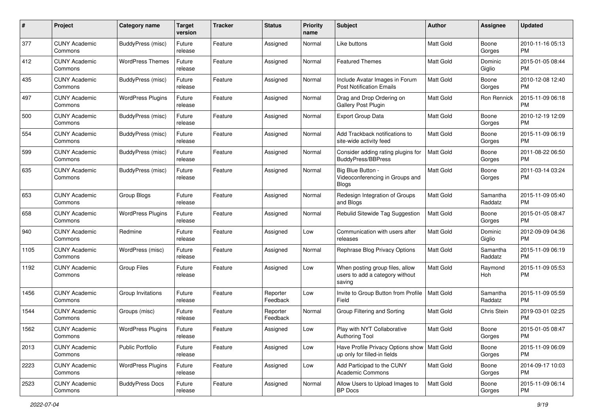| #             | Project                         | <b>Category name</b>     | <b>Target</b><br>version | <b>Tracker</b> | <b>Status</b>        | Priority<br>name | <b>Subject</b>                                                                | <b>Author</b>    | <b>Assignee</b>     | <b>Updated</b>                |
|---------------|---------------------------------|--------------------------|--------------------------|----------------|----------------------|------------------|-------------------------------------------------------------------------------|------------------|---------------------|-------------------------------|
| 377           | <b>CUNY Academic</b><br>Commons | BuddyPress (misc)        | Future<br>release        | Feature        | Assigned             | Normal           | Like buttons                                                                  | <b>Matt Gold</b> | Boone<br>Gorges     | 2010-11-16 05:13<br><b>PM</b> |
| 412           | <b>CUNY Academic</b><br>Commons | <b>WordPress Themes</b>  | Future<br>release        | Feature        | Assigned             | Normal           | <b>Featured Themes</b>                                                        | Matt Gold        | Dominic<br>Giglio   | 2015-01-05 08:44<br><b>PM</b> |
| 435           | <b>CUNY Academic</b><br>Commons | <b>BuddyPress (misc)</b> | Future<br>release        | Feature        | Assigned             | Normal           | Include Avatar Images in Forum<br><b>Post Notification Emails</b>             | Matt Gold        | Boone<br>Gorges     | 2010-12-08 12:40<br>PM.       |
| 497           | <b>CUNY Academic</b><br>Commons | <b>WordPress Plugins</b> | Future<br>release        | Feature        | Assigned             | Normal           | Drag and Drop Ordering on<br><b>Gallery Post Plugin</b>                       | Matt Gold        | Ron Rennick         | 2015-11-09 06:18<br>PM.       |
| 500           | <b>CUNY Academic</b><br>Commons | <b>BuddyPress (misc)</b> | Future<br>release        | Feature        | Assigned             | Normal           | Export Group Data                                                             | <b>Matt Gold</b> | Boone<br>Gorges     | 2010-12-19 12:09<br><b>PM</b> |
| 554           | <b>CUNY Academic</b><br>Commons | <b>BuddyPress (misc)</b> | Future<br>release        | Feature        | Assigned             | Normal           | Add Trackback notifications to<br>site-wide activity feed                     | <b>Matt Gold</b> | Boone<br>Gorges     | 2015-11-09 06:19<br><b>PM</b> |
| 599           | <b>CUNY Academic</b><br>Commons | BuddyPress (misc)        | Future<br>release        | Feature        | Assigned             | Normal           | Consider adding rating plugins for<br><b>BuddyPress/BBPress</b>               | Matt Gold        | Boone<br>Gorges     | 2011-08-22 06:50<br>PM.       |
| 635           | <b>CUNY Academic</b><br>Commons | <b>BuddyPress (misc)</b> | Future<br>release        | Feature        | Assigned             | Normal           | Big Blue Button -<br>Videoconferencing in Groups and<br><b>Blogs</b>          | <b>Matt Gold</b> | Boone<br>Gorges     | 2011-03-14 03:24<br>PM.       |
| 653           | <b>CUNY Academic</b><br>Commons | Group Blogs              | Future<br>release        | Feature        | Assigned             | Normal           | Redesign Integration of Groups<br>and Blogs                                   | <b>Matt Gold</b> | Samantha<br>Raddatz | 2015-11-09 05:40<br>PM.       |
| 658           | <b>CUNY Academic</b><br>Commons | <b>WordPress Plugins</b> | Future<br>release        | Feature        | Assigned             | Normal           | Rebulid Sitewide Tag Suggestion                                               | <b>Matt Gold</b> | Boone<br>Gorges     | 2015-01-05 08:47<br><b>PM</b> |
| $ 940\rangle$ | <b>CUNY Academic</b><br>Commons | Redmine                  | Future<br>release        | Feature        | Assigned             | Low              | Communication with users after<br>releases                                    | Matt Gold        | Dominic<br>Giglio   | 2012-09-09 04:36<br>PM.       |
| 1105          | <b>CUNY Academic</b><br>Commons | WordPress (misc)         | Future<br>release        | Feature        | Assigned             | Normal           | Rephrase Blog Privacy Options                                                 | <b>Matt Gold</b> | Samantha<br>Raddatz | 2015-11-09 06:19<br>PM.       |
| 1192          | <b>CUNY Academic</b><br>Commons | Group Files              | Future<br>release        | Feature        | Assigned             | Low              | When posting group files, allow<br>users to add a category without<br>saving  | Matt Gold        | Raymond<br>Hoh      | 2015-11-09 05:53<br>PM.       |
| 1456          | <b>CUNY Academic</b><br>Commons | Group Invitations        | Future<br>release        | Feature        | Reporter<br>Feedback | Low              | Invite to Group Button from Profile<br>Field                                  | Matt Gold        | Samantha<br>Raddatz | 2015-11-09 05:59<br>PM.       |
| 1544          | <b>CUNY Academic</b><br>Commons | Groups (misc)            | Future<br>release        | Feature        | Reporter<br>Feedback | Normal           | Group Filtering and Sorting                                                   | <b>Matt Gold</b> | Chris Stein         | 2019-03-01 02:25<br><b>PM</b> |
| 1562          | <b>CUNY Academic</b><br>Commons | <b>WordPress Plugins</b> | Future<br>release        | Feature        | Assigned             | Low              | Play with NYT Collaborative<br>Authoring Tool                                 | Matt Gold        | Boone<br>Gorges     | 2015-01-05 08:47<br><b>PM</b> |
| 2013          | <b>CUNY Academic</b><br>Commons | <b>Public Portfolio</b>  | Future<br>release        | Feature        | Assigned             | Low              | Have Profile Privacy Options show   Matt Gold<br>up only for filled-in fields |                  | Boone<br>Gorges     | 2015-11-09 06:09<br>PM.       |
| 2223          | <b>CUNY Academic</b><br>Commons | <b>WordPress Plugins</b> | Future<br>release        | Feature        | Assigned             | Low              | Add Participad to the CUNY<br><b>Academic Commons</b>                         | Matt Gold        | Boone<br>Gorges     | 2014-09-17 10:03<br><b>PM</b> |
| 2523          | <b>CUNY Academic</b><br>Commons | <b>BuddyPress Docs</b>   | Future<br>release        | Feature        | Assigned             | Normal           | Allow Users to Upload Images to<br>BP Docs                                    | Matt Gold        | Boone<br>Gorges     | 2015-11-09 06:14<br><b>PM</b> |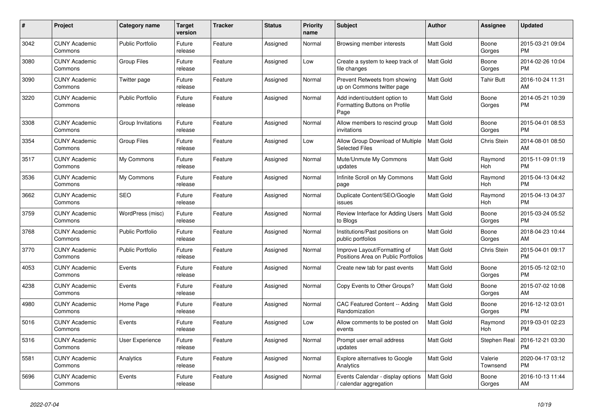| #    | <b>Project</b>                  | Category name           | <b>Target</b><br>version | <b>Tracker</b> | <b>Status</b> | <b>Priority</b><br>name | <b>Subject</b>                                                        | <b>Author</b>    | Assignee            | <b>Updated</b>                |
|------|---------------------------------|-------------------------|--------------------------|----------------|---------------|-------------------------|-----------------------------------------------------------------------|------------------|---------------------|-------------------------------|
| 3042 | <b>CUNY Academic</b><br>Commons | <b>Public Portfolio</b> | Future<br>release        | Feature        | Assigned      | Normal                  | Browsing member interests                                             | <b>Matt Gold</b> | Boone<br>Gorges     | 2015-03-21 09:04<br><b>PM</b> |
| 3080 | <b>CUNY Academic</b><br>Commons | <b>Group Files</b>      | Future<br>release        | Feature        | Assigned      | Low                     | Create a system to keep track of<br>file changes                      | <b>Matt Gold</b> | Boone<br>Gorges     | 2014-02-26 10:04<br><b>PM</b> |
| 3090 | <b>CUNY Academic</b><br>Commons | Twitter page            | Future<br>release        | Feature        | Assigned      | Normal                  | Prevent Retweets from showing<br>up on Commons twitter page           | <b>Matt Gold</b> | Tahir Butt          | 2016-10-24 11:31<br>AM        |
| 3220 | <b>CUNY Academic</b><br>Commons | <b>Public Portfolio</b> | Future<br>release        | Feature        | Assigned      | Normal                  | Add indent/outdent option to<br>Formatting Buttons on Profile<br>Page | <b>Matt Gold</b> | Boone<br>Gorges     | 2014-05-21 10:39<br><b>PM</b> |
| 3308 | <b>CUNY Academic</b><br>Commons | Group Invitations       | Future<br>release        | Feature        | Assigned      | Normal                  | Allow members to rescind group<br>invitations                         | <b>Matt Gold</b> | Boone<br>Gorges     | 2015-04-01 08:53<br><b>PM</b> |
| 3354 | <b>CUNY Academic</b><br>Commons | Group Files             | Future<br>release        | Feature        | Assigned      | Low                     | Allow Group Download of Multiple<br><b>Selected Files</b>             | <b>Matt Gold</b> | Chris Stein         | 2014-08-01 08:50<br>AM        |
| 3517 | <b>CUNY Academic</b><br>Commons | My Commons              | Future<br>release        | Feature        | Assigned      | Normal                  | Mute/Unmute My Commons<br>updates                                     | <b>Matt Gold</b> | Raymond<br>Hoh      | 2015-11-09 01:19<br><b>PM</b> |
| 3536 | <b>CUNY Academic</b><br>Commons | My Commons              | Future<br>release        | Feature        | Assigned      | Normal                  | Infinite Scroll on My Commons<br>page                                 | <b>Matt Gold</b> | Raymond<br>Hoh      | 2015-04-13 04:42<br><b>PM</b> |
| 3662 | <b>CUNY Academic</b><br>Commons | <b>SEO</b>              | Future<br>release        | Feature        | Assigned      | Normal                  | Duplicate Content/SEO/Google<br>issues                                | <b>Matt Gold</b> | Raymond<br>Hoh      | 2015-04-13 04:37<br><b>PM</b> |
| 3759 | <b>CUNY Academic</b><br>Commons | WordPress (misc)        | Future<br>release        | Feature        | Assigned      | Normal                  | Review Interface for Adding Users<br>to Blogs                         | Matt Gold        | Boone<br>Gorges     | 2015-03-24 05:52<br><b>PM</b> |
| 3768 | <b>CUNY Academic</b><br>Commons | <b>Public Portfolio</b> | Future<br>release        | Feature        | Assigned      | Normal                  | Institutions/Past positions on<br>public portfolios                   | <b>Matt Gold</b> | Boone<br>Gorges     | 2018-04-23 10:44<br>AM        |
| 3770 | <b>CUNY Academic</b><br>Commons | <b>Public Portfolio</b> | Future<br>release        | Feature        | Assigned      | Normal                  | Improve Layout/Formatting of<br>Positions Area on Public Portfolios   | Matt Gold        | Chris Stein         | 2015-04-01 09:17<br><b>PM</b> |
| 4053 | <b>CUNY Academic</b><br>Commons | Events                  | Future<br>release        | Feature        | Assigned      | Normal                  | Create new tab for past events                                        | <b>Matt Gold</b> | Boone<br>Gorges     | 2015-05-12 02:10<br><b>PM</b> |
| 4238 | <b>CUNY Academic</b><br>Commons | Events                  | Future<br>release        | Feature        | Assigned      | Normal                  | Copy Events to Other Groups?                                          | <b>Matt Gold</b> | Boone<br>Gorges     | 2015-07-02 10:08<br>AM        |
| 4980 | <b>CUNY Academic</b><br>Commons | Home Page               | Future<br>release        | Feature        | Assigned      | Normal                  | CAC Featured Content -- Adding<br>Randomization                       | <b>Matt Gold</b> | Boone<br>Gorges     | 2016-12-12 03:01<br><b>PM</b> |
| 5016 | <b>CUNY Academic</b><br>Commons | Events                  | Future<br>release        | Feature        | Assigned      | Low                     | Allow comments to be posted on<br>events                              | <b>Matt Gold</b> | Raymond<br>Hoh      | 2019-03-01 02:23<br><b>PM</b> |
| 5316 | <b>CUNY Academic</b><br>Commons | User Experience         | Future<br>release        | Feature        | Assigned      | Normal                  | Prompt user email address<br>updates                                  | Matt Gold        | Stephen Real        | 2016-12-21 03:30<br><b>PM</b> |
| 5581 | <b>CUNY Academic</b><br>Commons | Analytics               | Future<br>release        | Feature        | Assigned      | Normal                  | Explore alternatives to Google<br>Analytics                           | <b>Matt Gold</b> | Valerie<br>Townsend | 2020-04-17 03:12<br><b>PM</b> |
| 5696 | <b>CUNY Academic</b><br>Commons | Events                  | Future<br>release        | Feature        | Assigned      | Normal                  | Events Calendar - display options<br>/ calendar aggregation           | <b>Matt Gold</b> | Boone<br>Gorges     | 2016-10-13 11:44<br>AM        |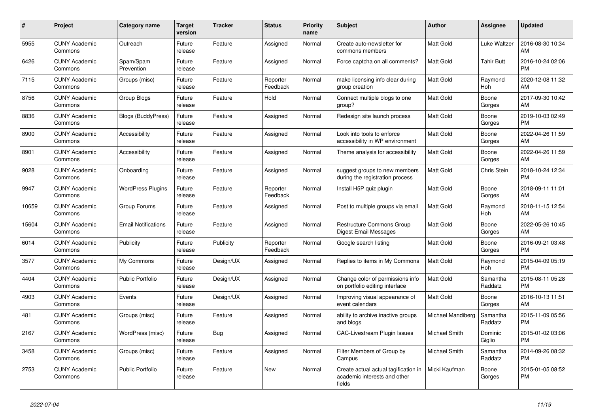| #     | Project                         | Category name              | <b>Target</b><br>version | Tracker   | <b>Status</b>        | <b>Priority</b><br>name | <b>Subject</b>                                                                 | <b>Author</b>     | Assignee              | <b>Updated</b>                |
|-------|---------------------------------|----------------------------|--------------------------|-----------|----------------------|-------------------------|--------------------------------------------------------------------------------|-------------------|-----------------------|-------------------------------|
| 5955  | <b>CUNY Academic</b><br>Commons | Outreach                   | Future<br>release        | Feature   | Assigned             | Normal                  | Create auto-newsletter for<br>commons members                                  | Matt Gold         | Luke Waltzer          | 2016-08-30 10:34<br>AM        |
| 6426  | <b>CUNY Academic</b><br>Commons | Spam/Spam<br>Prevention    | Future<br>release        | Feature   | Assigned             | Normal                  | Force captcha on all comments?                                                 | <b>Matt Gold</b>  | Tahir Butt            | 2016-10-24 02:06<br><b>PM</b> |
| 7115  | <b>CUNY Academic</b><br>Commons | Groups (misc)              | Future<br>release        | Feature   | Reporter<br>Feedback | Normal                  | make licensing info clear during<br>group creation                             | Matt Gold         | Raymond<br><b>Hoh</b> | 2020-12-08 11:32<br>AM        |
| 8756  | <b>CUNY Academic</b><br>Commons | Group Blogs                | Future<br>release        | Feature   | Hold                 | Normal                  | Connect multiple blogs to one<br>group?                                        | Matt Gold         | Boone<br>Gorges       | 2017-09-30 10:42<br>AM        |
| 8836  | <b>CUNY Academic</b><br>Commons | <b>Blogs (BuddyPress)</b>  | Future<br>release        | Feature   | Assigned             | Normal                  | Redesign site launch process                                                   | Matt Gold         | Boone<br>Gorges       | 2019-10-03 02:49<br><b>PM</b> |
| 8900  | <b>CUNY Academic</b><br>Commons | Accessibility              | Future<br>release        | Feature   | Assigned             | Normal                  | Look into tools to enforce<br>accessibility in WP environment                  | Matt Gold         | Boone<br>Gorges       | 2022-04-26 11:59<br>AM        |
| 8901  | <b>CUNY Academic</b><br>Commons | Accessibility              | Future<br>release        | Feature   | Assigned             | Normal                  | Theme analysis for accessibility                                               | <b>Matt Gold</b>  | Boone<br>Gorges       | 2022-04-26 11:59<br>AM        |
| 9028  | <b>CUNY Academic</b><br>Commons | Onboarding                 | Future<br>release        | Feature   | Assigned             | Normal                  | suggest groups to new members<br>during the registration process               | <b>Matt Gold</b>  | Chris Stein           | 2018-10-24 12:34<br><b>PM</b> |
| 9947  | <b>CUNY Academic</b><br>Commons | <b>WordPress Plugins</b>   | Future<br>release        | Feature   | Reporter<br>Feedback | Normal                  | Install H5P quiz plugin                                                        | Matt Gold         | Boone<br>Gorges       | 2018-09-11 11:01<br>AM        |
| 10659 | <b>CUNY Academic</b><br>Commons | Group Forums               | Future<br>release        | Feature   | Assigned             | Normal                  | Post to multiple groups via email                                              | <b>Matt Gold</b>  | Raymond<br>Hoh        | 2018-11-15 12:54<br>AM        |
| 15604 | <b>CUNY Academic</b><br>Commons | <b>Email Notifications</b> | Future<br>release        | Feature   | Assigned             | Normal                  | <b>Restructure Commons Group</b><br>Digest Email Messages                      | Matt Gold         | Boone<br>Gorges       | 2022-05-26 10:45<br>AM        |
| 6014  | <b>CUNY Academic</b><br>Commons | Publicity                  | Future<br>release        | Publicity | Reporter<br>Feedback | Normal                  | Google search listing                                                          | <b>Matt Gold</b>  | Boone<br>Gorges       | 2016-09-21 03:48<br><b>PM</b> |
| 3577  | <b>CUNY Academic</b><br>Commons | My Commons                 | Future<br>release        | Design/UX | Assigned             | Normal                  | Replies to items in My Commons                                                 | <b>Matt Gold</b>  | Raymond<br><b>Hoh</b> | 2015-04-09 05:19<br><b>PM</b> |
| 4404  | <b>CUNY Academic</b><br>Commons | <b>Public Portfolio</b>    | Future<br>release        | Design/UX | Assigned             | Normal                  | Change color of permissions info<br>on portfolio editing interface             | <b>Matt Gold</b>  | Samantha<br>Raddatz   | 2015-08-11 05:28<br><b>PM</b> |
| 4903  | <b>CUNY Academic</b><br>Commons | Events                     | Future<br>release        | Design/UX | Assigned             | Normal                  | Improving visual appearance of<br>event calendars                              | Matt Gold         | Boone<br>Gorges       | 2016-10-13 11:51<br>AM        |
| 481   | <b>CUNY Academic</b><br>Commons | Groups (misc)              | Future<br>release        | Feature   | Assigned             | Normal                  | ability to archive inactive groups<br>and blogs                                | Michael Mandiberg | Samantha<br>Raddatz   | 2015-11-09 05:56<br><b>PM</b> |
| 2167  | <b>CUNY Academic</b><br>Commons | WordPress (misc)           | Future<br>release        | Bug       | Assigned             | Normal                  | <b>CAC-Livestream Plugin Issues</b>                                            | Michael Smith     | Dominic<br>Giglio     | 2015-01-02 03:06<br><b>PM</b> |
| 3458  | <b>CUNY Academic</b><br>Commons | Groups (misc)              | Future<br>release        | Feature   | Assigned             | Normal                  | Filter Members of Group by<br>Campus                                           | Michael Smith     | Samantha<br>Raddatz   | 2014-09-26 08:32<br><b>PM</b> |
| 2753  | <b>CUNY Academic</b><br>Commons | <b>Public Portfolio</b>    | Future<br>release        | Feature   | <b>New</b>           | Normal                  | Create actual actual tagification in<br>academic interests and other<br>fields | Micki Kaufman     | Boone<br>Gorges       | 2015-01-05 08:52<br><b>PM</b> |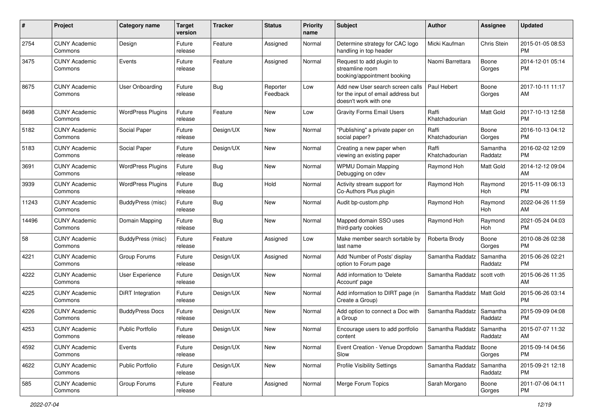| #     | Project                         | Category name            | <b>Target</b><br>version | <b>Tracker</b> | <b>Status</b>        | <b>Priority</b><br>name | <b>Subject</b>                                                                                  | Author                  | <b>Assignee</b>     | <b>Updated</b>                |
|-------|---------------------------------|--------------------------|--------------------------|----------------|----------------------|-------------------------|-------------------------------------------------------------------------------------------------|-------------------------|---------------------|-------------------------------|
| 2754  | <b>CUNY Academic</b><br>Commons | Design                   | Future<br>release        | Feature        | Assigned             | Normal                  | Determine strategy for CAC logo<br>handling in top header                                       | Micki Kaufman           | Chris Stein         | 2015-01-05 08:53<br><b>PM</b> |
| 3475  | <b>CUNY Academic</b><br>Commons | Events                   | Future<br>release        | Feature        | Assigned             | Normal                  | Request to add plugin to<br>streamline room<br>booking/appointment booking                      | Naomi Barrettara        | Boone<br>Gorges     | 2014-12-01 05:14<br><b>PM</b> |
| 8675  | <b>CUNY Academic</b><br>Commons | User Onboarding          | Future<br>release        | <b>Bug</b>     | Reporter<br>Feedback | Low                     | Add new User search screen calls<br>for the input of email address but<br>doesn't work with one | Paul Hebert             | Boone<br>Gorges     | 2017-10-11 11:17<br>AM        |
| 8498  | <b>CUNY Academic</b><br>Commons | <b>WordPress Plugins</b> | Future<br>release        | Feature        | New                  | Low                     | <b>Gravity Forms Email Users</b>                                                                | Raffi<br>Khatchadourian | Matt Gold           | 2017-10-13 12:58<br><b>PM</b> |
| 5182  | <b>CUNY Academic</b><br>Commons | Social Paper             | Future<br>release        | Design/UX      | <b>New</b>           | Normal                  | "Publishing" a private paper on<br>social paper?                                                | Raffi<br>Khatchadourian | Boone<br>Gorges     | 2016-10-13 04:12<br><b>PM</b> |
| 5183  | <b>CUNY Academic</b><br>Commons | Social Paper             | Future<br>release        | Design/UX      | <b>New</b>           | Normal                  | Creating a new paper when<br>viewing an existing paper                                          | Raffi<br>Khatchadourian | Samantha<br>Raddatz | 2016-02-02 12:09<br><b>PM</b> |
| 3691  | <b>CUNY Academic</b><br>Commons | <b>WordPress Plugins</b> | Future<br>release        | Bug            | <b>New</b>           | Normal                  | <b>WPMU Domain Mapping</b><br>Debugging on cdev                                                 | Raymond Hoh             | Matt Gold           | 2014-12-12 09:04<br>AM        |
| 3939  | <b>CUNY Academic</b><br>Commons | <b>WordPress Plugins</b> | Future<br>release        | Bug            | Hold                 | Normal                  | Activity stream support for<br>Co-Authors Plus plugin                                           | Raymond Hoh             | Raymond<br>Hoh      | 2015-11-09 06:13<br><b>PM</b> |
| 11243 | <b>CUNY Academic</b><br>Commons | <b>BuddyPress</b> (misc) | Future<br>release        | Bug            | New                  | Normal                  | Audit bp-custom.php                                                                             | Raymond Hoh             | Raymond<br>Hoh      | 2022-04-26 11:59<br>AM        |
| 14496 | <b>CUNY Academic</b><br>Commons | Domain Mapping           | Future<br>release        | Bug            | <b>New</b>           | Normal                  | Mapped domain SSO uses<br>third-party cookies                                                   | Raymond Hoh             | Raymond<br>Hoh      | 2021-05-24 04:03<br><b>PM</b> |
| 58    | <b>CUNY Academic</b><br>Commons | BuddyPress (misc)        | Future<br>release        | Feature        | Assigned             | Low                     | Make member search sortable by<br>last name                                                     | Roberta Brody           | Boone<br>Gorges     | 2010-08-26 02:38<br><b>PM</b> |
| 4221  | <b>CUNY Academic</b><br>Commons | Group Forums             | Future<br>release        | Design/UX      | Assigned             | Normal                  | Add 'Number of Posts' display<br>option to Forum page                                           | Samantha Raddatz        | Samantha<br>Raddatz | 2015-06-26 02:21<br><b>PM</b> |
| 4222  | <b>CUNY Academic</b><br>Commons | <b>User Experience</b>   | Future<br>release        | Design/UX      | <b>New</b>           | Normal                  | Add information to 'Delete<br>Account' page                                                     | Samantha Raddatz        | scott voth          | 2015-06-26 11:35<br>AM        |
| 4225  | <b>CUNY Academic</b><br>Commons | <b>DiRT</b> Integration  | Future<br>release        | Design/UX      | <b>New</b>           | Normal                  | Add information to DIRT page (in<br>Create a Group)                                             | Samantha Raddatz        | Matt Gold           | 2015-06-26 03:14<br><b>PM</b> |
| 4226  | <b>CUNY Academic</b><br>Commons | <b>BuddyPress Docs</b>   | Future<br>release        | Design/UX      | New                  | Normal                  | Add option to connect a Doc with<br>a Group                                                     | Samantha Raddatz        | Samantha<br>Raddatz | 2015-09-09 04:08<br><b>PM</b> |
| 4253  | <b>CUNY Academic</b><br>Commons | <b>Public Portfolio</b>  | Future<br>release        | Design/UX      | <b>New</b>           | Normal                  | Encourage users to add portfolio<br>content                                                     | Samantha Raddatz        | Samantha<br>Raddatz | 2015-07-07 11:32<br>AM        |
| 4592  | <b>CUNY Academic</b><br>Commons | Events                   | Future<br>release        | Design/UX      | New                  | Normal                  | Event Creation - Venue Dropdown   Samantha Raddatz<br>Slow                                      |                         | Boone<br>Gorges     | 2015-09-14 04:56<br><b>PM</b> |
| 4622  | <b>CUNY Academic</b><br>Commons | <b>Public Portfolio</b>  | Future<br>release        | Design/UX      | New                  | Normal                  | Profile Visibility Settings                                                                     | Samantha Raddatz        | Samantha<br>Raddatz | 2015-09-21 12:18<br><b>PM</b> |
| 585   | <b>CUNY Academic</b><br>Commons | Group Forums             | Future<br>release        | Feature        | Assigned             | Normal                  | Merge Forum Topics                                                                              | Sarah Morgano           | Boone<br>Gorges     | 2011-07-06 04:11<br><b>PM</b> |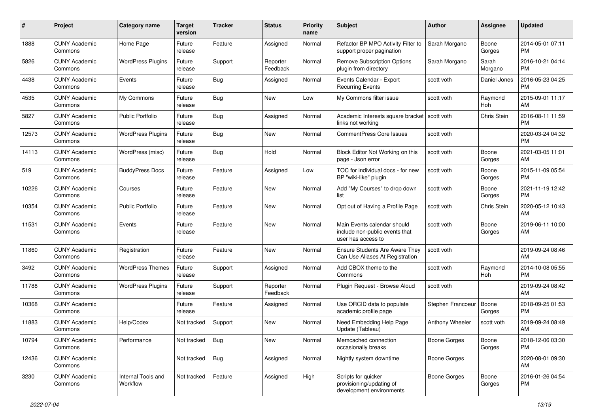| #     | Project                         | <b>Category name</b>           | <b>Target</b><br>version | <b>Tracker</b> | <b>Status</b>        | Priority<br>name | <b>Subject</b>                                                                      | <b>Author</b>       | <b>Assignee</b>  | <b>Updated</b>                |
|-------|---------------------------------|--------------------------------|--------------------------|----------------|----------------------|------------------|-------------------------------------------------------------------------------------|---------------------|------------------|-------------------------------|
| 1888  | <b>CUNY Academic</b><br>Commons | Home Page                      | Future<br>release        | Feature        | Assigned             | Normal           | Refactor BP MPO Activity Filter to<br>support proper pagination                     | Sarah Morgano       | Boone<br>Gorges  | 2014-05-01 07:11<br>PM.       |
| 5826  | <b>CUNY Academic</b><br>Commons | <b>WordPress Plugins</b>       | Future<br>release        | Support        | Reporter<br>Feedback | Normal           | <b>Remove Subscription Options</b><br>plugin from directory                         | Sarah Morgano       | Sarah<br>Morgano | 2016-10-21 04:14<br><b>PM</b> |
| 4438  | <b>CUNY Academic</b><br>Commons | Events                         | Future<br>release        | Bug            | Assigned             | Normal           | Events Calendar - Export<br><b>Recurring Events</b>                                 | scott voth          | Daniel Jones     | 2016-05-23 04:25<br><b>PM</b> |
| 4535  | <b>CUNY Academic</b><br>Commons | My Commons                     | Future<br>release        | Bug            | New                  | Low              | My Commons filter issue                                                             | scott voth          | Raymond<br>Hoh   | 2015-09-01 11:17<br>AM        |
| 5827  | <b>CUNY Academic</b><br>Commons | Public Portfolio               | Future<br>release        | <b>Bug</b>     | Assigned             | Normal           | Academic Interests square bracket<br>links not working                              | scott voth          | Chris Stein      | 2016-08-11 11:59<br><b>PM</b> |
| 12573 | <b>CUNY Academic</b><br>Commons | <b>WordPress Plugins</b>       | Future<br>release        | Bug            | New                  | Normal           | <b>CommentPress Core Issues</b>                                                     | scott voth          |                  | 2020-03-24 04:32<br><b>PM</b> |
| 14113 | <b>CUNY Academic</b><br>Commons | WordPress (misc)               | Future<br>release        | Bug            | Hold                 | Normal           | Block Editor Not Working on this<br>page - Json error                               | scott voth          | Boone<br>Gorges  | 2021-03-05 11:01<br>AM        |
| 519   | <b>CUNY Academic</b><br>Commons | <b>BuddyPress Docs</b>         | Future<br>release        | Feature        | Assigned             | Low              | TOC for individual docs - for new<br>BP "wiki-like" plugin                          | scott voth          | Boone<br>Gorges  | 2015-11-09 05:54<br>PM.       |
| 10226 | <b>CUNY Academic</b><br>Commons | Courses                        | Future<br>release        | Feature        | New                  | Normal           | Add "My Courses" to drop down<br>list                                               | scott voth          | Boone<br>Gorges  | 2021-11-19 12:42<br><b>PM</b> |
| 10354 | <b>CUNY Academic</b><br>Commons | <b>Public Portfolio</b>        | Future<br>release        | Feature        | New                  | Normal           | Opt out of Having a Profile Page                                                    | scott voth          | Chris Stein      | 2020-05-12 10:43<br>AM        |
| 11531 | <b>CUNY Academic</b><br>Commons | Events                         | Future<br>release        | Feature        | New                  | Normal           | Main Events calendar should<br>include non-public events that<br>user has access to | scott voth          | Boone<br>Gorges  | 2019-06-11 10:00<br>AM        |
| 11860 | <b>CUNY Academic</b><br>Commons | Registration                   | Future<br>release        | Feature        | New                  | Normal           | <b>Ensure Students Are Aware They</b><br>Can Use Aliases At Registration            | scott voth          |                  | 2019-09-24 08:46<br>AM        |
| 3492  | <b>CUNY Academic</b><br>Commons | <b>WordPress Themes</b>        | Future<br>release        | Support        | Assigned             | Normal           | Add CBOX theme to the<br>Commons                                                    | scott voth          | Raymond<br>Hoh   | 2014-10-08 05:55<br><b>PM</b> |
| 11788 | <b>CUNY Academic</b><br>Commons | <b>WordPress Plugins</b>       | Future<br>release        | Support        | Reporter<br>Feedback | Normal           | Plugin Request - Browse Aloud                                                       | scott voth          |                  | 2019-09-24 08:42<br>AM        |
| 10368 | <b>CUNY Academic</b><br>Commons |                                | Future<br>release        | Feature        | Assigned             | Normal           | Use ORCID data to populate<br>academic profile page                                 | Stephen Francoeur   | Boone<br>Gorges  | 2018-09-25 01:53<br><b>PM</b> |
| 11883 | <b>CUNY Academic</b><br>Commons | Help/Codex                     | Not tracked              | Support        | New                  | Normal           | Need Embedding Help Page<br>Update (Tableau)                                        | Anthony Wheeler     | scott voth       | 2019-09-24 08:49<br>AM        |
| 10794 | <b>CUNY Academic</b><br>Commons | Performance                    | Not tracked              | Bug            | New                  | Normal           | Memcached connection<br>occasionally breaks                                         | <b>Boone Gorges</b> | Boone<br>Gorges  | 2018-12-06 03:30<br><b>PM</b> |
| 12436 | <b>CUNY Academic</b><br>Commons |                                | Not tracked              | Bug            | Assigned             | Normal           | Nightly system downtime                                                             | Boone Gorges        |                  | 2020-08-01 09:30<br>AM        |
| 3230  | <b>CUNY Academic</b><br>Commons | Internal Tools and<br>Workflow | Not tracked              | Feature        | Assigned             | High             | Scripts for quicker<br>provisioning/updating of<br>development environments         | Boone Gorges        | Boone<br>Gorges  | 2016-01-26 04:54<br><b>PM</b> |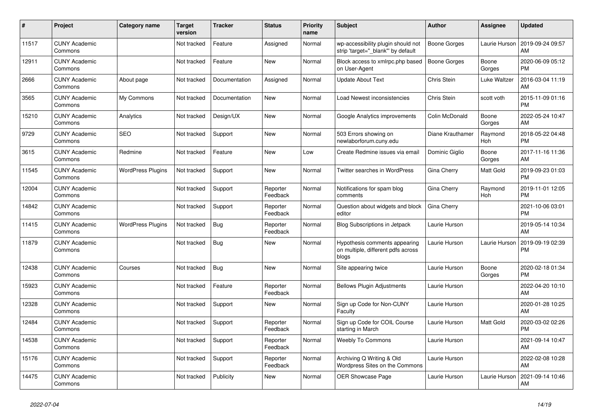| #     | <b>Project</b>                  | <b>Category name</b>     | <b>Target</b><br>version | <b>Tracker</b> | <b>Status</b>        | <b>Priority</b><br>name | <b>Subject</b>                                                               | <b>Author</b>    | Assignee        | <b>Updated</b>                |
|-------|---------------------------------|--------------------------|--------------------------|----------------|----------------------|-------------------------|------------------------------------------------------------------------------|------------------|-----------------|-------------------------------|
| 11517 | <b>CUNY Academic</b><br>Commons |                          | Not tracked              | Feature        | Assigned             | Normal                  | wp-accessibility plugin should not<br>strip 'target=" blank" by default      | Boone Gorges     | Laurie Hurson   | 2019-09-24 09:57<br>AM        |
| 12911 | <b>CUNY Academic</b><br>Commons |                          | Not tracked              | Feature        | New                  | Normal                  | Block access to xmlrpc.php based<br>on User-Agent                            | Boone Gorges     | Boone<br>Gorges | 2020-06-09 05:12<br><b>PM</b> |
| 2666  | <b>CUNY Academic</b><br>Commons | About page               | Not tracked              | Documentation  | Assigned             | Normal                  | <b>Update About Text</b>                                                     | Chris Stein      | Luke Waltzer    | 2016-03-04 11:19<br>AM        |
| 3565  | <b>CUNY Academic</b><br>Commons | My Commons               | Not tracked              | Documentation  | <b>New</b>           | Normal                  | Load Newest inconsistencies                                                  | Chris Stein      | scott voth      | 2015-11-09 01:16<br><b>PM</b> |
| 15210 | <b>CUNY Academic</b><br>Commons | Analytics                | Not tracked              | Design/UX      | New                  | Normal                  | Google Analytics improvements                                                | Colin McDonald   | Boone<br>Gorges | 2022-05-24 10:47<br>AM        |
| 9729  | <b>CUNY Academic</b><br>Commons | <b>SEO</b>               | Not tracked              | Support        | New                  | Normal                  | 503 Errors showing on<br>newlaborforum.cuny.edu                              | Diane Krauthamer | Raymond<br>Hoh  | 2018-05-22 04:48<br><b>PM</b> |
| 3615  | <b>CUNY Academic</b><br>Commons | Redmine                  | Not tracked              | Feature        | <b>New</b>           | Low                     | Create Redmine issues via email                                              | Dominic Giglio   | Boone<br>Gorges | 2017-11-16 11:36<br>AM        |
| 11545 | <b>CUNY Academic</b><br>Commons | <b>WordPress Plugins</b> | Not tracked              | Support        | <b>New</b>           | Normal                  | Twitter searches in WordPress                                                | Gina Cherry      | Matt Gold       | 2019-09-23 01:03<br><b>PM</b> |
| 12004 | <b>CUNY Academic</b><br>Commons |                          | Not tracked              | Support        | Reporter<br>Feedback | Normal                  | Notifications for spam blog<br>comments                                      | Gina Cherry      | Raymond<br>Hoh  | 2019-11-01 12:05<br><b>PM</b> |
| 14842 | <b>CUNY Academic</b><br>Commons |                          | Not tracked              | Support        | Reporter<br>Feedback | Normal                  | Question about widgets and block<br>editor                                   | Gina Cherry      |                 | 2021-10-06 03:01<br><b>PM</b> |
| 11415 | <b>CUNY Academic</b><br>Commons | <b>WordPress Plugins</b> | Not tracked              | <b>Bug</b>     | Reporter<br>Feedback | Normal                  | <b>Blog Subscriptions in Jetpack</b>                                         | Laurie Hurson    |                 | 2019-05-14 10:34<br>AM        |
| 11879 | <b>CUNY Academic</b><br>Commons |                          | Not tracked              | Bug            | New                  | Normal                  | Hypothesis comments appearing<br>on multiple, different pdfs across<br>blogs | Laurie Hurson    | Laurie Hurson   | 2019-09-19 02:39<br><b>PM</b> |
| 12438 | <b>CUNY Academic</b><br>Commons | Courses                  | Not tracked              | Bug            | <b>New</b>           | Normal                  | Site appearing twice                                                         | Laurie Hurson    | Boone<br>Gorges | 2020-02-18 01:34<br><b>PM</b> |
| 15923 | <b>CUNY Academic</b><br>Commons |                          | Not tracked              | Feature        | Reporter<br>Feedback | Normal                  | <b>Bellows Plugin Adjustments</b>                                            | Laurie Hurson    |                 | 2022-04-20 10:10<br>AM        |
| 12328 | <b>CUNY Academic</b><br>Commons |                          | Not tracked              | Support        | <b>New</b>           | Normal                  | Sign up Code for Non-CUNY<br>Faculty                                         | Laurie Hurson    |                 | 2020-01-28 10:25<br>AM        |
| 12484 | <b>CUNY Academic</b><br>Commons |                          | Not tracked              | Support        | Reporter<br>Feedback | Normal                  | Sign up Code for COIL Course<br>starting in March                            | Laurie Hurson    | Matt Gold       | 2020-03-02 02:26<br><b>PM</b> |
| 14538 | <b>CUNY Academic</b><br>Commons |                          | Not tracked              | Support        | Reporter<br>Feedback | Normal                  | <b>Weebly To Commons</b>                                                     | Laurie Hurson    |                 | 2021-09-14 10:47<br>AM        |
| 15176 | <b>CUNY Academic</b><br>Commons |                          | Not tracked              | Support        | Reporter<br>Feedback | Normal                  | Archiving Q Writing & Old<br>Wordpress Sites on the Commons                  | Laurie Hurson    |                 | 2022-02-08 10:28<br>AM        |
| 14475 | <b>CUNY Academic</b><br>Commons |                          | Not tracked              | Publicity      | <b>New</b>           | Normal                  | <b>OER Showcase Page</b>                                                     | Laurie Hurson    | Laurie Hurson   | 2021-09-14 10:46<br>AM        |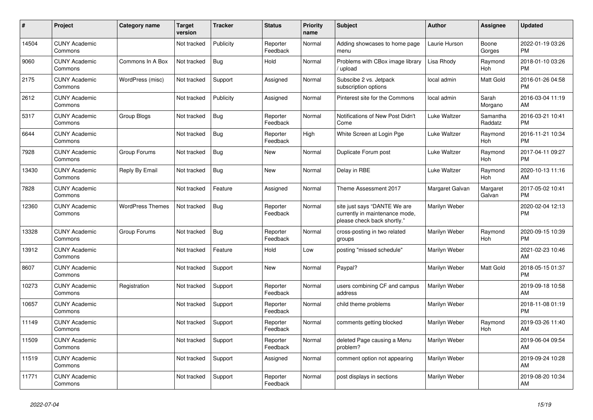| #     | Project                         | <b>Category name</b>    | <b>Target</b><br>version | <b>Tracker</b> | <b>Status</b>        | <b>Priority</b><br>name | <b>Subject</b>                                                                                | <b>Author</b>   | <b>Assignee</b>       | <b>Updated</b>                |
|-------|---------------------------------|-------------------------|--------------------------|----------------|----------------------|-------------------------|-----------------------------------------------------------------------------------------------|-----------------|-----------------------|-------------------------------|
| 14504 | <b>CUNY Academic</b><br>Commons |                         | Not tracked              | Publicity      | Reporter<br>Feedback | Normal                  | Adding showcases to home page<br>menu                                                         | Laurie Hurson   | Boone<br>Gorges       | 2022-01-19 03:26<br><b>PM</b> |
| 9060  | <b>CUNY Academic</b><br>Commons | Commons In A Box        | Not tracked              | <b>Bug</b>     | Hold                 | Normal                  | Problems with CBox image library<br>/ upload                                                  | Lisa Rhody      | Raymond<br>Hoh        | 2018-01-10 03:26<br><b>PM</b> |
| 2175  | <b>CUNY Academic</b><br>Commons | WordPress (misc)        | Not tracked              | Support        | Assigned             | Normal                  | Subscibe 2 vs. Jetpack<br>subscription options                                                | local admin     | Matt Gold             | 2016-01-26 04:58<br><b>PM</b> |
| 2612  | <b>CUNY Academic</b><br>Commons |                         | Not tracked              | Publicity      | Assigned             | Normal                  | Pinterest site for the Commons                                                                | local admin     | Sarah<br>Morgano      | 2016-03-04 11:19<br>AM        |
| 5317  | <b>CUNY Academic</b><br>Commons | Group Blogs             | Not tracked              | <b>Bug</b>     | Reporter<br>Feedback | Normal                  | Notifications of New Post Didn't<br>Come                                                      | Luke Waltzer    | Samantha<br>Raddatz   | 2016-03-21 10:41<br><b>PM</b> |
| 6644  | <b>CUNY Academic</b><br>Commons |                         | Not tracked              | <b>Bug</b>     | Reporter<br>Feedback | High                    | White Screen at Login Pge                                                                     | Luke Waltzer    | Raymond<br>Hoh        | 2016-11-21 10:34<br><b>PM</b> |
| 7928  | <b>CUNY Academic</b><br>Commons | Group Forums            | Not tracked              | Bug            | New                  | Normal                  | Duplicate Forum post                                                                          | Luke Waltzer    | Raymond<br>Hoh        | 2017-04-11 09:27<br><b>PM</b> |
| 13430 | <b>CUNY Academic</b><br>Commons | Reply By Email          | Not tracked              | Bug            | New                  | Normal                  | Delay in RBE                                                                                  | Luke Waltzer    | Raymond<br><b>Hoh</b> | 2020-10-13 11:16<br>AM        |
| 7828  | <b>CUNY Academic</b><br>Commons |                         | Not tracked              | Feature        | Assigned             | Normal                  | Theme Assessment 2017                                                                         | Margaret Galvan | Margaret<br>Galvan    | 2017-05-02 10:41<br><b>PM</b> |
| 12360 | <b>CUNY Academic</b><br>Commons | <b>WordPress Themes</b> | Not tracked              | Bug            | Reporter<br>Feedback | Normal                  | site just says "DANTE We are<br>currently in maintenance mode,<br>please check back shortly." | Marilyn Weber   |                       | 2020-02-04 12:13<br><b>PM</b> |
| 13328 | <b>CUNY Academic</b><br>Commons | Group Forums            | Not tracked              | Bug            | Reporter<br>Feedback | Normal                  | cross-posting in two related<br>groups                                                        | Marilyn Weber   | Raymond<br>Hoh        | 2020-09-15 10:39<br><b>PM</b> |
| 13912 | <b>CUNY Academic</b><br>Commons |                         | Not tracked              | Feature        | Hold                 | Low                     | posting "missed schedule"                                                                     | Marilyn Weber   |                       | 2021-02-23 10:46<br>AM        |
| 8607  | <b>CUNY Academic</b><br>Commons |                         | Not tracked              | Support        | <b>New</b>           | Normal                  | Paypal?                                                                                       | Marilyn Weber   | Matt Gold             | 2018-05-15 01:37<br><b>PM</b> |
| 10273 | <b>CUNY Academic</b><br>Commons | Registration            | Not tracked              | Support        | Reporter<br>Feedback | Normal                  | users combining CF and campus<br>address                                                      | Marilyn Weber   |                       | 2019-09-18 10:58<br>AM        |
| 10657 | <b>CUNY Academic</b><br>Commons |                         | Not tracked              | Support        | Reporter<br>Feedback | Normal                  | child theme problems                                                                          | Marilyn Weber   |                       | 2018-11-08 01:19<br><b>PM</b> |
| 11149 | <b>CUNY Academic</b><br>Commons |                         | Not tracked              | Support        | Reporter<br>Feedback | Normal                  | comments getting blocked                                                                      | Marilyn Weber   | Raymond<br>Hoh        | 2019-03-26 11:40<br>AM        |
| 11509 | <b>CUNY Academic</b><br>Commons |                         | Not tracked              | Support        | Reporter<br>Feedback | Normal                  | deleted Page causing a Menu<br>problem?                                                       | Marilyn Weber   |                       | 2019-06-04 09:54<br>AM        |
| 11519 | <b>CUNY Academic</b><br>Commons |                         | Not tracked              | Support        | Assigned             | Normal                  | comment option not appearing                                                                  | Marilyn Weber   |                       | 2019-09-24 10:28<br>AM        |
| 11771 | <b>CUNY Academic</b><br>Commons |                         | Not tracked              | Support        | Reporter<br>Feedback | Normal                  | post displays in sections                                                                     | Marilyn Weber   |                       | 2019-08-20 10:34<br>AM        |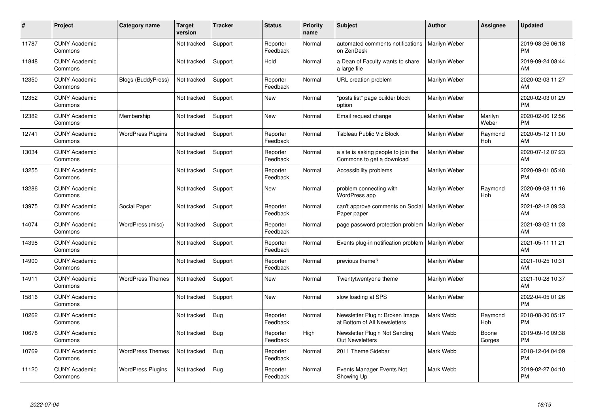| #     | Project                         | <b>Category name</b>      | <b>Target</b><br>version | <b>Tracker</b> | <b>Status</b>        | <b>Priority</b><br>name | <b>Subject</b>                                                   | <b>Author</b> | <b>Assignee</b>  | <b>Updated</b>                |
|-------|---------------------------------|---------------------------|--------------------------|----------------|----------------------|-------------------------|------------------------------------------------------------------|---------------|------------------|-------------------------------|
| 11787 | <b>CUNY Academic</b><br>Commons |                           | Not tracked              | Support        | Reporter<br>Feedback | Normal                  | automated comments notifications<br>on ZenDesk                   | Marilyn Weber |                  | 2019-08-26 06:18<br><b>PM</b> |
| 11848 | <b>CUNY Academic</b><br>Commons |                           | Not tracked              | Support        | Hold                 | Normal                  | a Dean of Faculty wants to share<br>a large file                 | Marilyn Weber |                  | 2019-09-24 08:44<br>AM        |
| 12350 | <b>CUNY Academic</b><br>Commons | <b>Blogs (BuddyPress)</b> | Not tracked              | Support        | Reporter<br>Feedback | Normal                  | URL creation problem                                             | Marilyn Weber |                  | 2020-02-03 11:27<br>AM        |
| 12352 | <b>CUNY Academic</b><br>Commons |                           | Not tracked              | Support        | New                  | Normal                  | "posts list" page builder block<br>option                        | Marilyn Weber |                  | 2020-02-03 01:29<br><b>PM</b> |
| 12382 | <b>CUNY Academic</b><br>Commons | Membership                | Not tracked              | Support        | <b>New</b>           | Normal                  | Email request change                                             | Marilyn Weber | Marilyn<br>Weber | 2020-02-06 12:56<br><b>PM</b> |
| 12741 | <b>CUNY Academic</b><br>Commons | <b>WordPress Plugins</b>  | Not tracked              | Support        | Reporter<br>Feedback | Normal                  | Tableau Public Viz Block                                         | Marilyn Weber | Raymond<br>Hoh   | 2020-05-12 11:00<br><b>AM</b> |
| 13034 | <b>CUNY Academic</b><br>Commons |                           | Not tracked              | Support        | Reporter<br>Feedback | Normal                  | a site is asking people to join the<br>Commons to get a download | Marilyn Weber |                  | 2020-07-12 07:23<br>AM        |
| 13255 | <b>CUNY Academic</b><br>Commons |                           | Not tracked              | Support        | Reporter<br>Feedback | Normal                  | Accessibility problems                                           | Marilyn Weber |                  | 2020-09-01 05:48<br><b>PM</b> |
| 13286 | <b>CUNY Academic</b><br>Commons |                           | Not tracked              | Support        | New                  | Normal                  | problem connecting with<br><b>WordPress app</b>                  | Marilyn Weber | Raymond<br>Hoh   | 2020-09-08 11:16<br>AM        |
| 13975 | <b>CUNY Academic</b><br>Commons | Social Paper              | Not tracked              | Support        | Reporter<br>Feedback | Normal                  | can't approve comments on Social<br>Paper paper                  | Marilyn Weber |                  | 2021-02-12 09:33<br>AM.       |
| 14074 | <b>CUNY Academic</b><br>Commons | WordPress (misc)          | Not tracked              | Support        | Reporter<br>Feedback | Normal                  | page password protection problem                                 | Marilyn Weber |                  | 2021-03-02 11:03<br>AM        |
| 14398 | <b>CUNY Academic</b><br>Commons |                           | Not tracked              | Support        | Reporter<br>Feedback | Normal                  | Events plug-in notification problem                              | Marilyn Weber |                  | 2021-05-11 11:21<br><b>AM</b> |
| 14900 | <b>CUNY Academic</b><br>Commons |                           | Not tracked              | Support        | Reporter<br>Feedback | Normal                  | previous theme?                                                  | Marilyn Weber |                  | 2021-10-25 10:31<br><b>AM</b> |
| 14911 | <b>CUNY Academic</b><br>Commons | <b>WordPress Themes</b>   | Not tracked              | Support        | New                  | Normal                  | Twentytwentyone theme                                            | Marilyn Weber |                  | 2021-10-28 10:37<br><b>AM</b> |
| 15816 | <b>CUNY Academic</b><br>Commons |                           | Not tracked              | Support        | New                  | Normal                  | slow loading at SPS                                              | Marilyn Weber |                  | 2022-04-05 01:26<br><b>PM</b> |
| 10262 | <b>CUNY Academic</b><br>Commons |                           | Not tracked              | <b>Bug</b>     | Reporter<br>Feedback | Normal                  | Newsletter Plugin: Broken Image<br>at Bottom of All Newsletters  | Mark Webb     | Raymond<br>Hoh   | 2018-08-30 05:17<br><b>PM</b> |
| 10678 | <b>CUNY Academic</b><br>Commons |                           | Not tracked              | Bug            | Reporter<br>Feedback | High                    | Newsletter Plugin Not Sending<br><b>Out Newsletters</b>          | Mark Webb     | Boone<br>Gorges  | 2019-09-16 09:38<br><b>PM</b> |
| 10769 | <b>CUNY Academic</b><br>Commons | <b>WordPress Themes</b>   | Not tracked              | Bug            | Reporter<br>Feedback | Normal                  | 2011 Theme Sidebar                                               | Mark Webb     |                  | 2018-12-04 04:09<br><b>PM</b> |
| 11120 | <b>CUNY Academic</b><br>Commons | <b>WordPress Plugins</b>  | Not tracked              | <b>Bug</b>     | Reporter<br>Feedback | Normal                  | Events Manager Events Not<br>Showing Up                          | Mark Webb     |                  | 2019-02-27 04:10<br>PM        |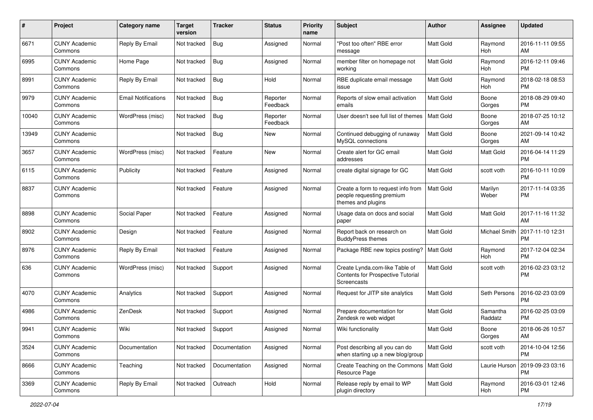| #     | Project                         | <b>Category name</b>       | <b>Target</b><br>version | <b>Tracker</b> | <b>Status</b>        | Priority<br>name | <b>Subject</b>                                                                        | Author           | <b>Assignee</b>     | <b>Updated</b>                |
|-------|---------------------------------|----------------------------|--------------------------|----------------|----------------------|------------------|---------------------------------------------------------------------------------------|------------------|---------------------|-------------------------------|
| 6671  | <b>CUNY Academic</b><br>Commons | Reply By Email             | Not tracked              | Bug            | Assigned             | Normal           | "Post too often" RBE error<br>message                                                 | <b>Matt Gold</b> | Raymond<br>Hoh      | 2016-11-11 09:55<br>AM        |
| 6995  | <b>CUNY Academic</b><br>Commons | Home Page                  | Not tracked              | <b>Bug</b>     | Assigned             | Normal           | member filter on homepage not<br>workina                                              | <b>Matt Gold</b> | Raymond<br>Hoh      | 2016-12-11 09:46<br><b>PM</b> |
| 8991  | <b>CUNY Academic</b><br>Commons | Reply By Email             | Not tracked              | <b>Bug</b>     | Hold                 | Normal           | RBE duplicate email message<br>issue                                                  | Matt Gold        | Raymond<br>Hoh      | 2018-02-18 08:53<br><b>PM</b> |
| 9979  | <b>CUNY Academic</b><br>Commons | <b>Email Notifications</b> | Not tracked              | Bug            | Reporter<br>Feedback | Normal           | Reports of slow email activation<br>emails                                            | Matt Gold        | Boone<br>Gorges     | 2018-08-29 09:40<br><b>PM</b> |
| 10040 | <b>CUNY Academic</b><br>Commons | WordPress (misc)           | Not tracked              | Bug            | Reporter<br>Feedback | Normal           | User doesn't see full list of themes                                                  | <b>Matt Gold</b> | Boone<br>Gorges     | 2018-07-25 10:12<br>AM        |
| 13949 | <b>CUNY Academic</b><br>Commons |                            | Not tracked              | Bug            | New                  | Normal           | Continued debugging of runaway<br>MySQL connections                                   | <b>Matt Gold</b> | Boone<br>Gorges     | 2021-09-14 10:42<br>AM        |
| 3657  | <b>CUNY Academic</b><br>Commons | WordPress (misc)           | Not tracked              | Feature        | New                  | Normal           | Create alert for GC email<br>addresses                                                | Matt Gold        | Matt Gold           | 2016-04-14 11:29<br><b>PM</b> |
| 6115  | <b>CUNY Academic</b><br>Commons | Publicity                  | Not tracked              | Feature        | Assigned             | Normal           | create digital signage for GC                                                         | <b>Matt Gold</b> | scott voth          | 2016-10-11 10:09<br><b>PM</b> |
| 8837  | <b>CUNY Academic</b><br>Commons |                            | Not tracked              | Feature        | Assigned             | Normal           | Create a form to request info from<br>people requesting premium<br>themes and plugins | <b>Matt Gold</b> | Marilyn<br>Weber    | 2017-11-14 03:35<br><b>PM</b> |
| 8898  | CUNY Academic<br>Commons        | Social Paper               | Not tracked              | Feature        | Assigned             | Normal           | Usage data on docs and social<br>paper                                                | <b>Matt Gold</b> | Matt Gold           | 2017-11-16 11:32<br>AM        |
| 8902  | <b>CUNY Academic</b><br>Commons | Design                     | Not tracked              | Feature        | Assigned             | Normal           | Report back on research on<br><b>BuddyPress themes</b>                                | Matt Gold        | Michael Smith       | 2017-11-10 12:31<br><b>PM</b> |
| 8976  | CUNY Academic<br>Commons        | Reply By Email             | Not tracked              | Feature        | Assigned             | Normal           | Package RBE new topics posting?                                                       | <b>Matt Gold</b> | Raymond<br>Hoh      | 2017-12-04 02:34<br><b>PM</b> |
| 636   | <b>CUNY Academic</b><br>Commons | WordPress (misc)           | Not tracked              | Support        | Assigned             | Normal           | Create Lynda.com-like Table of<br>Contents for Prospective Tutorial<br>Screencasts    | <b>Matt Gold</b> | scott voth          | 2016-02-23 03:12<br><b>PM</b> |
| 4070  | <b>CUNY Academic</b><br>Commons | Analytics                  | Not tracked              | Support        | Assigned             | Normal           | Request for JITP site analytics                                                       | <b>Matt Gold</b> | Seth Persons        | 2016-02-23 03:09<br><b>PM</b> |
| 4986  | <b>CUNY Academic</b><br>Commons | ZenDesk                    | Not tracked              | Support        | Assigned             | Normal           | Prepare documentation for<br>Zendesk re web widget                                    | Matt Gold        | Samantha<br>Raddatz | 2016-02-25 03:09<br><b>PM</b> |
| 9941  | <b>CUNY Academic</b><br>Commons | Wiki                       | Not tracked              | Support        | Assigned             | Normal           | Wiki functionality                                                                    | Matt Gold        | Boone<br>Gorges     | 2018-06-26 10:57<br>AM        |
| 3524  | <b>CUNY Academic</b><br>Commons | Documentation              | Not tracked              | Documentation  | Assigned             | Normal           | Post describing all you can do<br>when starting up a new blog/group                   | Matt Gold        | scott voth          | 2014-10-04 12:56<br><b>PM</b> |
| 8666  | <b>CUNY Academic</b><br>Commons | Teaching                   | Not tracked              | Documentation  | Assigned             | Normal           | Create Teaching on the Commons   Matt Gold<br>Resource Page                           |                  | Laurie Hurson       | 2019-09-23 03:16<br><b>PM</b> |
| 3369  | <b>CUNY Academic</b><br>Commons | Reply By Email             | Not tracked              | Outreach       | Hold                 | Normal           | Release reply by email to WP<br>plugin directory                                      | Matt Gold        | Raymond<br>Hoh      | 2016-03-01 12:46<br><b>PM</b> |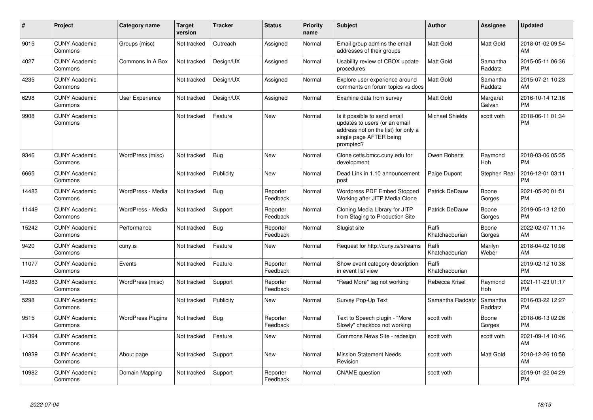| #     | Project                         | Category name            | <b>Target</b><br>version | <b>Tracker</b> | <b>Status</b>        | <b>Priority</b><br>name | <b>Subject</b>                                                                                                                               | Author                  | <b>Assignee</b>     | <b>Updated</b>                |
|-------|---------------------------------|--------------------------|--------------------------|----------------|----------------------|-------------------------|----------------------------------------------------------------------------------------------------------------------------------------------|-------------------------|---------------------|-------------------------------|
| 9015  | <b>CUNY Academic</b><br>Commons | Groups (misc)            | Not tracked              | Outreach       | Assigned             | Normal                  | Email group admins the email<br>addresses of their groups                                                                                    | <b>Matt Gold</b>        | <b>Matt Gold</b>    | 2018-01-02 09:54<br>AM        |
| 4027  | <b>CUNY Academic</b><br>Commons | Commons In A Box         | Not tracked              | Design/UX      | Assigned             | Normal                  | Usability review of CBOX update<br>procedures                                                                                                | <b>Matt Gold</b>        | Samantha<br>Raddatz | 2015-05-11 06:36<br><b>PM</b> |
| 4235  | <b>CUNY Academic</b><br>Commons |                          | Not tracked              | Design/UX      | Assigned             | Normal                  | Explore user experience around<br>comments on forum topics vs docs                                                                           | Matt Gold               | Samantha<br>Raddatz | 2015-07-21 10:23<br>AM        |
| 6298  | <b>CUNY Academic</b><br>Commons | User Experience          | Not tracked              | Design/UX      | Assigned             | Normal                  | Examine data from survey                                                                                                                     | Matt Gold               | Margaret<br>Galvan  | 2016-10-14 12:16<br><b>PM</b> |
| 9908  | <b>CUNY Academic</b><br>Commons |                          | Not tracked              | Feature        | New                  | Normal                  | Is it possible to send email<br>updates to users (or an email<br>address not on the list) for only a<br>single page AFTER being<br>prompted? | <b>Michael Shields</b>  | scott voth          | 2018-06-11 01:34<br><b>PM</b> |
| 9346  | <b>CUNY Academic</b><br>Commons | WordPress (misc)         | Not tracked              | Bug            | <b>New</b>           | Normal                  | Clone cetls.bmcc.cuny.edu for<br>development                                                                                                 | Owen Roberts            | Raymond<br>Hoh      | 2018-03-06 05:35<br><b>PM</b> |
| 6665  | <b>CUNY Academic</b><br>Commons |                          | Not tracked              | Publicity      | <b>New</b>           | Normal                  | Dead Link in 1.10 announcement<br>post                                                                                                       | Paige Dupont            | Stephen Real        | 2016-12-01 03:11<br><b>PM</b> |
| 14483 | <b>CUNY Academic</b><br>Commons | WordPress - Media        | Not tracked              | Bug            | Reporter<br>Feedback | Normal                  | Wordpress PDF Embed Stopped<br>Working after JITP Media Clone                                                                                | Patrick DeDauw          | Boone<br>Gorges     | 2021-05-20 01:51<br><b>PM</b> |
| 11449 | <b>CUNY Academic</b><br>Commons | WordPress - Media        | Not tracked              | Support        | Reporter<br>Feedback | Normal                  | Cloning Media Library for JITP<br>from Staging to Production Site                                                                            | <b>Patrick DeDauw</b>   | Boone<br>Gorges     | 2019-05-13 12:00<br><b>PM</b> |
| 15242 | <b>CUNY Academic</b><br>Commons | Performance              | Not tracked              | Bug            | Reporter<br>Feedback | Normal                  | Slugist site                                                                                                                                 | Raffi<br>Khatchadourian | Boone<br>Gorges     | 2022-02-07 11:14<br>AM        |
| 9420  | <b>CUNY Academic</b><br>Commons | cuny.is                  | Not tracked              | Feature        | <b>New</b>           | Normal                  | Request for http://cuny.is/streams                                                                                                           | Raffi<br>Khatchadourian | Marilyn<br>Weber    | 2018-04-02 10:08<br>AM        |
| 11077 | <b>CUNY Academic</b><br>Commons | Events                   | Not tracked              | Feature        | Reporter<br>Feedback | Normal                  | Show event category description<br>in event list view                                                                                        | Raffi<br>Khatchadourian |                     | 2019-02-12 10:38<br><b>PM</b> |
| 14983 | <b>CUNY Academic</b><br>Commons | WordPress (misc)         | Not tracked              | Support        | Reporter<br>Feedback | Normal                  | "Read More" tag not working                                                                                                                  | Rebecca Krisel          | Raymond<br>Hoh      | 2021-11-23 01:17<br><b>PM</b> |
| 5298  | <b>CUNY Academic</b><br>Commons |                          | Not tracked              | Publicity      | <b>New</b>           | Normal                  | Survey Pop-Up Text                                                                                                                           | Samantha Raddatz        | Samantha<br>Raddatz | 2016-03-22 12:27<br><b>PM</b> |
| 9515  | <b>CUNY Academic</b><br>Commons | <b>WordPress Plugins</b> | Not tracked              | Bug            | Reporter<br>Feedback | Normal                  | Text to Speech plugin - "More<br>Slowly" checkbox not working                                                                                | scott voth              | Boone<br>Gorges     | 2018-06-13 02:26<br><b>PM</b> |
| 14394 | <b>CUNY Academic</b><br>Commons |                          | Not tracked              | Feature        | <b>New</b>           | Normal                  | Commons News Site - redesign                                                                                                                 | scott voth              | scott voth          | 2021-09-14 10:46<br>AM        |
| 10839 | <b>CUNY Academic</b><br>Commons | About page               | Not tracked              | Support        | <b>New</b>           | Normal                  | <b>Mission Statement Needs</b><br>Revision                                                                                                   | scott voth              | <b>Matt Gold</b>    | 2018-12-26 10:58<br>AM        |
| 10982 | <b>CUNY Academic</b><br>Commons | Domain Mapping           | Not tracked              | Support        | Reporter<br>Feedback | Normal                  | <b>CNAME</b> question                                                                                                                        | scott voth              |                     | 2019-01-22 04:29<br>PM        |